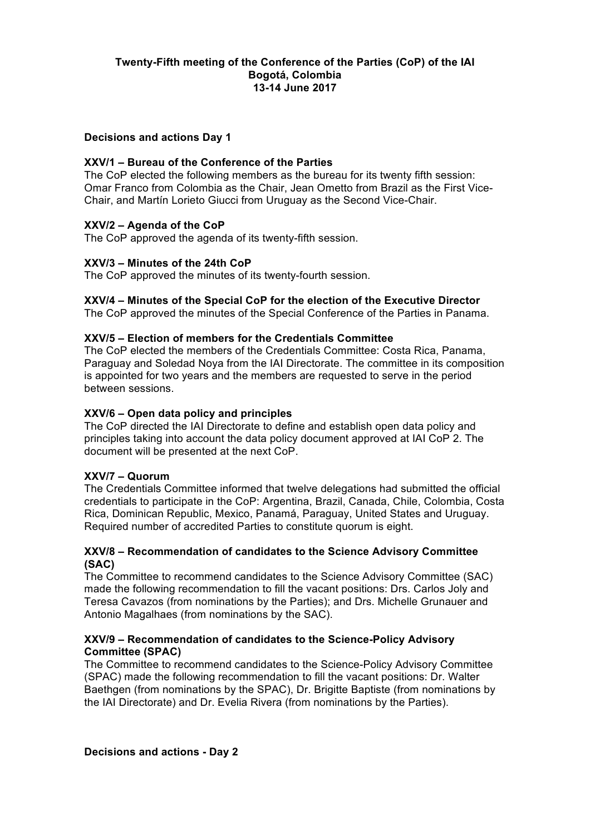## **Twenty-Fifth meeting of the Conference of the Parties (CoP) of the IAI Bogotá, Colombia 13-14 June 2017**

### **Decisions and actions Day 1**

### **XXV/1 – Bureau of the Conference of the Parties**

The CoP elected the following members as the bureau for its twenty fifth session: Omar Franco from Colombia as the Chair, Jean Ometto from Brazil as the First Vice-Chair, and Martín Lorieto Giucci from Uruguay as the Second Vice-Chair.

### **XXV/2 – Agenda of the CoP**

The CoP approved the agenda of its twenty-fifth session.

#### **XXV/3 – Minutes of the 24th CoP**

The CoP approved the minutes of its twenty-fourth session.

#### **XXV/4 – Minutes of the Special CoP for the election of the Executive Director**

The CoP approved the minutes of the Special Conference of the Parties in Panama.

#### **XXV/5 – Election of members for the Credentials Committee**

The CoP elected the members of the Credentials Committee: Costa Rica, Panama, Paraguay and Soledad Noya from the IAI Directorate. The committee in its composition is appointed for two years and the members are requested to serve in the period between sessions.

#### **XXV/6 – Open data policy and principles**

The CoP directed the IAI Directorate to define and establish open data policy and principles taking into account the data policy document approved at IAI CoP 2. The document will be presented at the next CoP.

#### **XXV/7 – Quorum**

The Credentials Committee informed that twelve delegations had submitted the official credentials to participate in the CoP: Argentina, Brazil, Canada, Chile, Colombia, Costa Rica, Dominican Republic, Mexico, Panamá, Paraguay, United States and Uruguay. Required number of accredited Parties to constitute quorum is eight.

### **XXV/8 – Recommendation of candidates to the Science Advisory Committee (SAC)**

The Committee to recommend candidates to the Science Advisory Committee (SAC) made the following recommendation to fill the vacant positions: Drs. Carlos Joly and Teresa Cavazos (from nominations by the Parties); and Drs. Michelle Grunauer and Antonio Magalhaes (from nominations by the SAC).

#### **XXV/9 – Recommendation of candidates to the Science-Policy Advisory Committee (SPAC)**

The Committee to recommend candidates to the Science-Policy Advisory Committee (SPAC) made the following recommendation to fill the vacant positions: Dr. Walter Baethgen (from nominations by the SPAC), Dr. Brigitte Baptiste (from nominations by the IAI Directorate) and Dr. Evelia Rivera (from nominations by the Parties).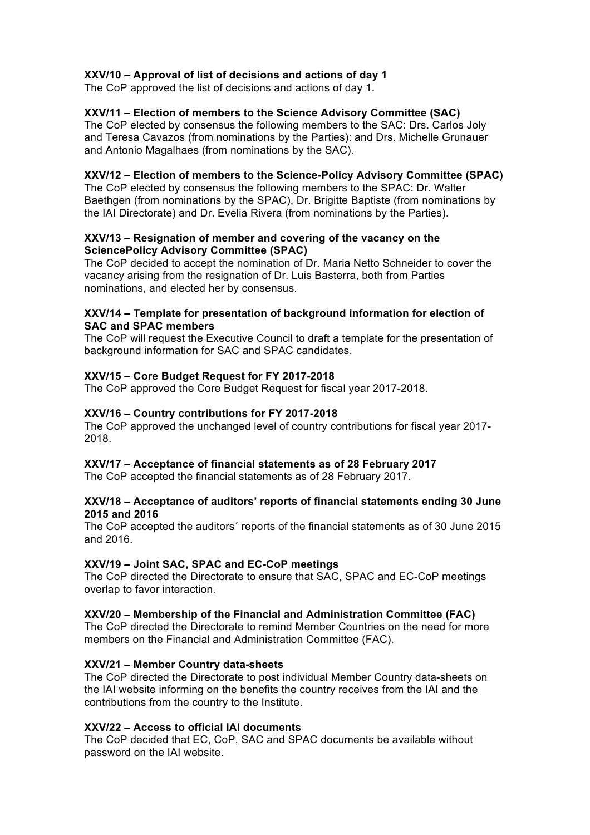## **XXV/10 – Approval of list of decisions and actions of day 1**

The CoP approved the list of decisions and actions of day 1.

## **XXV/11 – Election of members to the Science Advisory Committee (SAC)**

The CoP elected by consensus the following members to the SAC: Drs. Carlos Joly and Teresa Cavazos (from nominations by the Parties): and Drs. Michelle Grunauer and Antonio Magalhaes (from nominations by the SAC).

### **XXV/12 – Election of members to the Science-Policy Advisory Committee (SPAC)**

The CoP elected by consensus the following members to the SPAC: Dr. Walter Baethgen (from nominations by the SPAC), Dr. Brigitte Baptiste (from nominations by the IAI Directorate) and Dr. Evelia Rivera (from nominations by the Parties).

### **XXV/13 – Resignation of member and covering of the vacancy on the SciencePolicy Advisory Committee (SPAC)**

The CoP decided to accept the nomination of Dr. Maria Netto Schneider to cover the vacancy arising from the resignation of Dr. Luis Basterra, both from Parties nominations, and elected her by consensus.

### **XXV/14 – Template for presentation of background information for election of SAC and SPAC members**

The CoP will request the Executive Council to draft a template for the presentation of background information for SAC and SPAC candidates.

### **XXV/15 – Core Budget Request for FY 2017-2018**

The CoP approved the Core Budget Request for fiscal year 2017-2018.

### **XXV/16 – Country contributions for FY 2017-2018**

The CoP approved the unchanged level of country contributions for fiscal year 2017- 2018.

#### **XXV/17 – Acceptance of financial statements as of 28 February 2017**

The CoP accepted the financial statements as of 28 February 2017.

### **XXV/18 – Acceptance of auditors' reports of financial statements ending 30 June 2015 and 2016**

The CoP accepted the auditors´ reports of the financial statements as of 30 June 2015 and 2016.

#### **XXV/19 – Joint SAC, SPAC and EC-CoP meetings**

The CoP directed the Directorate to ensure that SAC, SPAC and EC-CoP meetings overlap to favor interaction.

#### **XXV/20 – Membership of the Financial and Administration Committee (FAC)**

The CoP directed the Directorate to remind Member Countries on the need for more members on the Financial and Administration Committee (FAC).

#### **XXV/21 – Member Country data-sheets**

The CoP directed the Directorate to post individual Member Country data-sheets on the IAI website informing on the benefits the country receives from the IAI and the contributions from the country to the Institute.

### **XXV/22 – Access to official IAI documents**

The CoP decided that EC, CoP, SAC and SPAC documents be available without password on the IAI website.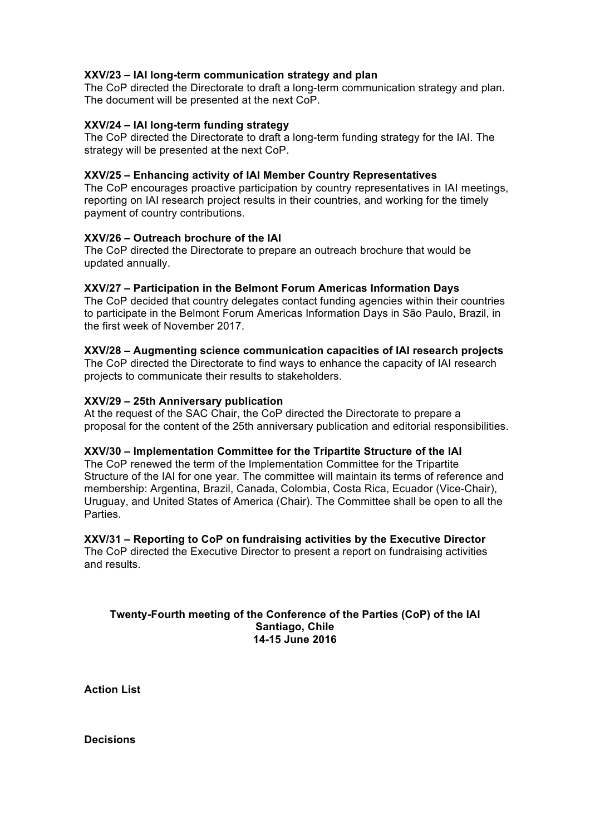### **XXV/23 – IAI long-term communication strategy and plan**

The CoP directed the Directorate to draft a long-term communication strategy and plan. The document will be presented at the next CoP.

### **XXV/24 – IAI long-term funding strategy**

The CoP directed the Directorate to draft a long-term funding strategy for the IAI. The strategy will be presented at the next CoP.

### **XXV/25 – Enhancing activity of IAI Member Country Representatives**

The CoP encourages proactive participation by country representatives in IAI meetings, reporting on IAI research project results in their countries, and working for the timely payment of country contributions.

### **XXV/26 – Outreach brochure of the IAI**

The CoP directed the Directorate to prepare an outreach brochure that would be updated annually.

### **XXV/27 – Participation in the Belmont Forum Americas Information Days**

The CoP decided that country delegates contact funding agencies within their countries to participate in the Belmont Forum Americas Information Days in São Paulo, Brazil, in the first week of November 2017.

#### **XXV/28 – Augmenting science communication capacities of IAI research projects**

The CoP directed the Directorate to find ways to enhance the capacity of IAI research projects to communicate their results to stakeholders.

### **XXV/29 – 25th Anniversary publication**

At the request of the SAC Chair, the CoP directed the Directorate to prepare a proposal for the content of the 25th anniversary publication and editorial responsibilities.

## **XXV/30 – Implementation Committee for the Tripartite Structure of the IAI**

The CoP renewed the term of the Implementation Committee for the Tripartite Structure of the IAI for one year. The committee will maintain its terms of reference and membership: Argentina, Brazil, Canada, Colombia, Costa Rica, Ecuador (Vice-Chair), Uruguay, and United States of America (Chair). The Committee shall be open to all the Parties.

## **XXV/31 – Reporting to CoP on fundraising activities by the Executive Director**

The CoP directed the Executive Director to present a report on fundraising activities and results.

#### **Twenty-Fourth meeting of the Conference of the Parties (CoP) of the IAI Santiago, Chile 14-15 June 2016**

**Action List** 

**Decisions**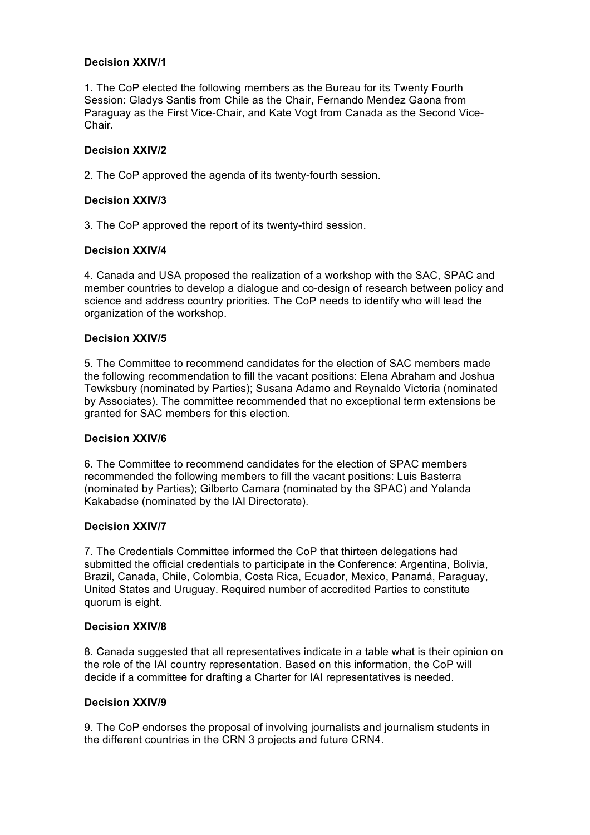## **Decision XXIV/1**

1. The CoP elected the following members as the Bureau for its Twenty Fourth Session: Gladys Santis from Chile as the Chair, Fernando Mendez Gaona from Paraguay as the First Vice-Chair, and Kate Vogt from Canada as the Second Vice-Chair.

### **Decision XXIV/2**

2. The CoP approved the agenda of its twenty-fourth session.

### **Decision XXIV/3**

3. The CoP approved the report of its twenty-third session.

### **Decision XXIV/4**

4. Canada and USA proposed the realization of a workshop with the SAC, SPAC and member countries to develop a dialogue and co-design of research between policy and science and address country priorities. The CoP needs to identify who will lead the organization of the workshop.

### **Decision XXIV/5**

5. The Committee to recommend candidates for the election of SAC members made the following recommendation to fill the vacant positions: Elena Abraham and Joshua Tewksbury (nominated by Parties); Susana Adamo and Reynaldo Victoria (nominated by Associates). The committee recommended that no exceptional term extensions be granted for SAC members for this election.

#### **Decision XXIV/6**

6. The Committee to recommend candidates for the election of SPAC members recommended the following members to fill the vacant positions: Luis Basterra (nominated by Parties); Gilberto Camara (nominated by the SPAC) and Yolanda Kakabadse (nominated by the IAI Directorate).

#### **Decision XXIV/7**

7. The Credentials Committee informed the CoP that thirteen delegations had submitted the official credentials to participate in the Conference: Argentina, Bolivia, Brazil, Canada, Chile, Colombia, Costa Rica, Ecuador, Mexico, Panamá, Paraguay, United States and Uruguay. Required number of accredited Parties to constitute quorum is eight.

#### **Decision XXIV/8**

8. Canada suggested that all representatives indicate in a table what is their opinion on the role of the IAI country representation. Based on this information, the CoP will decide if a committee for drafting a Charter for IAI representatives is needed.

#### **Decision XXIV/9**

9. The CoP endorses the proposal of involving journalists and journalism students in the different countries in the CRN 3 projects and future CRN4.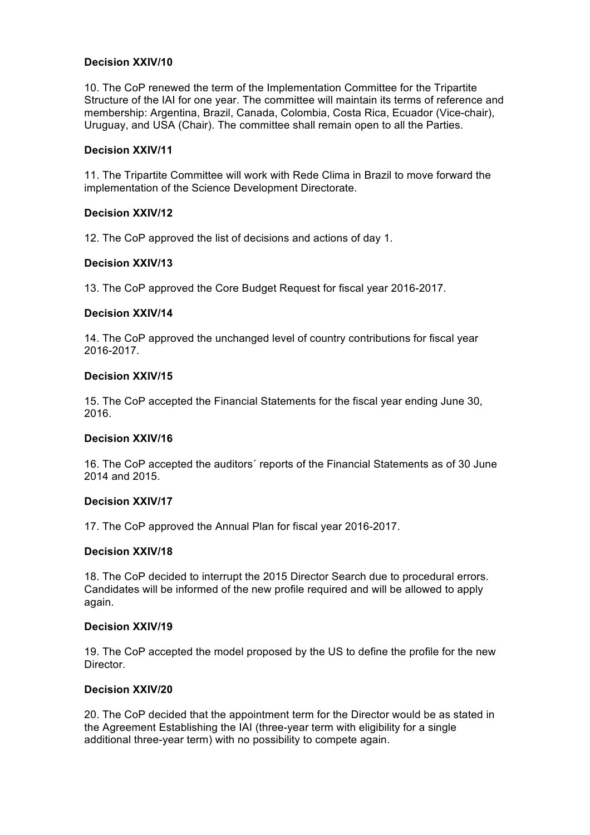### **Decision XXIV/10**

10. The CoP renewed the term of the Implementation Committee for the Tripartite Structure of the IAI for one year. The committee will maintain its terms of reference and membership: Argentina, Brazil, Canada, Colombia, Costa Rica, Ecuador (Vice-chair), Uruguay, and USA (Chair). The committee shall remain open to all the Parties.

### **Decision XXIV/11**

11. The Tripartite Committee will work with Rede Clima in Brazil to move forward the implementation of the Science Development Directorate.

### **Decision XXIV/12**

12. The CoP approved the list of decisions and actions of day 1.

### **Decision XXIV/13**

13. The CoP approved the Core Budget Request for fiscal year 2016-2017.

### **Decision XXIV/14**

14. The CoP approved the unchanged level of country contributions for fiscal year 2016-2017.

### **Decision XXIV/15**

15. The CoP accepted the Financial Statements for the fiscal year ending June 30, 2016.

#### **Decision XXIV/16**

16. The CoP accepted the auditors´ reports of the Financial Statements as of 30 June 2014 and 2015.

#### **Decision XXIV/17**

17. The CoP approved the Annual Plan for fiscal year 2016-2017.

#### **Decision XXIV/18**

18. The CoP decided to interrupt the 2015 Director Search due to procedural errors. Candidates will be informed of the new profile required and will be allowed to apply again.

### **Decision XXIV/19**

19. The CoP accepted the model proposed by the US to define the profile for the new Director.

### **Decision XXIV/20**

20. The CoP decided that the appointment term for the Director would be as stated in the Agreement Establishing the IAI (three-year term with eligibility for a single additional three-year term) with no possibility to compete again.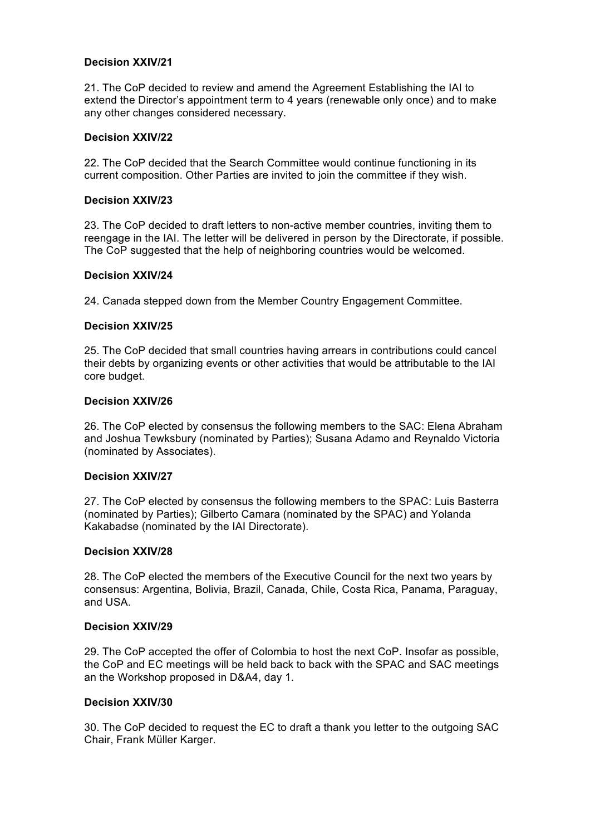### **Decision XXIV/21**

21. The CoP decided to review and amend the Agreement Establishing the IAI to extend the Director's appointment term to 4 years (renewable only once) and to make any other changes considered necessary.

### **Decision XXIV/22**

22. The CoP decided that the Search Committee would continue functioning in its current composition. Other Parties are invited to join the committee if they wish.

### **Decision XXIV/23**

23. The CoP decided to draft letters to non-active member countries, inviting them to reengage in the IAI. The letter will be delivered in person by the Directorate, if possible. The CoP suggested that the help of neighboring countries would be welcomed.

### **Decision XXIV/24**

24. Canada stepped down from the Member Country Engagement Committee.

### **Decision XXIV/25**

25. The CoP decided that small countries having arrears in contributions could cancel their debts by organizing events or other activities that would be attributable to the IAI core budget.

#### **Decision XXIV/26**

26. The CoP elected by consensus the following members to the SAC: Elena Abraham and Joshua Tewksbury (nominated by Parties); Susana Adamo and Reynaldo Victoria (nominated by Associates).

#### **Decision XXIV/27**

27. The CoP elected by consensus the following members to the SPAC: Luis Basterra (nominated by Parties); Gilberto Camara (nominated by the SPAC) and Yolanda Kakabadse (nominated by the IAI Directorate).

#### **Decision XXIV/28**

28. The CoP elected the members of the Executive Council for the next two years by consensus: Argentina, Bolivia, Brazil, Canada, Chile, Costa Rica, Panama, Paraguay, and USA.

#### **Decision XXIV/29**

29. The CoP accepted the offer of Colombia to host the next CoP. Insofar as possible, the CoP and EC meetings will be held back to back with the SPAC and SAC meetings an the Workshop proposed in D&A4, day 1.

#### **Decision XXIV/30**

30. The CoP decided to request the EC to draft a thank you letter to the outgoing SAC Chair, Frank Müller Karger.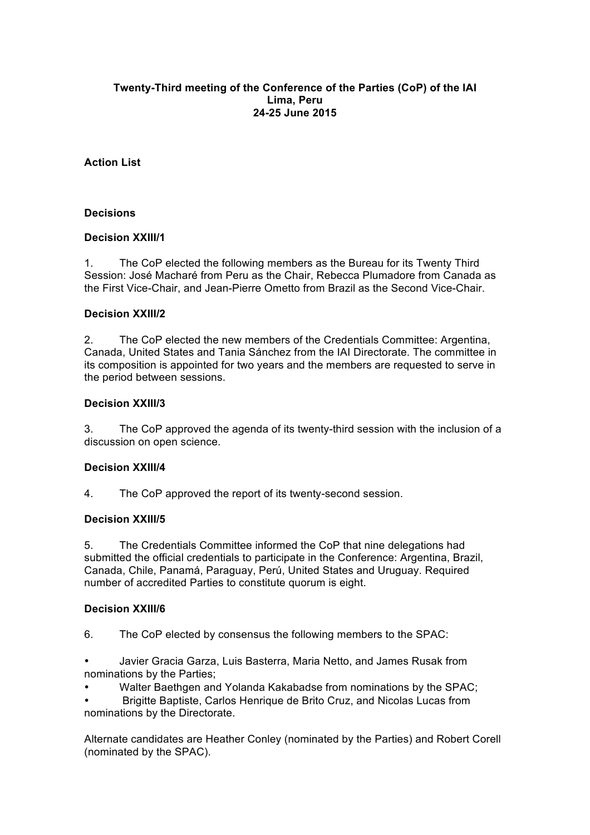### **Twenty-Third meeting of the Conference of the Parties (CoP) of the IAI Lima, Peru 24-25 June 2015**

# **Action List**

## **Decisions**

## **Decision XXIII/1**

1. The CoP elected the following members as the Bureau for its Twenty Third Session: José Macharé from Peru as the Chair, Rebecca Plumadore from Canada as the First Vice-Chair, and Jean-Pierre Ometto from Brazil as the Second Vice-Chair.

## **Decision XXIII/2**

2. The CoP elected the new members of the Credentials Committee: Argentina, Canada, United States and Tania Sánchez from the IAI Directorate. The committee in its composition is appointed for two years and the members are requested to serve in the period between sessions.

## **Decision XXIII/3**

3. The CoP approved the agenda of its twenty-third session with the inclusion of a discussion on open science.

## **Decision XXIII/4**

4. The CoP approved the report of its twenty-second session.

# **Decision XXIII/5**

5. The Credentials Committee informed the CoP that nine delegations had submitted the official credentials to participate in the Conference: Argentina, Brazil, Canada, Chile, Panamá, Paraguay, Perú, United States and Uruguay. Required number of accredited Parties to constitute quorum is eight.

## **Decision XXIII/6**

- 6. The CoP elected by consensus the following members to the SPAC:
- Javier Gracia Garza, Luis Basterra, Maria Netto, and James Rusak from nominations by the Parties;
- Walter Baethgen and Yolanda Kakabadse from nominations by the SPAC;

• Brigitte Baptiste, Carlos Henrique de Brito Cruz, and Nicolas Lucas from nominations by the Directorate.

Alternate candidates are Heather Conley (nominated by the Parties) and Robert Corell (nominated by the SPAC).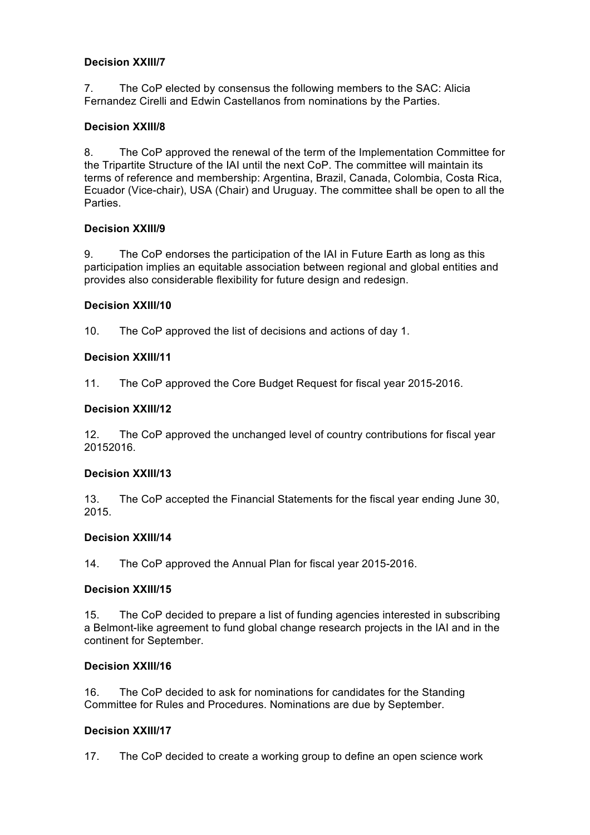## **Decision XXIII/7**

7. The CoP elected by consensus the following members to the SAC: Alicia Fernandez Cirelli and Edwin Castellanos from nominations by the Parties.

# **Decision XXIII/8**

8. The CoP approved the renewal of the term of the Implementation Committee for the Tripartite Structure of the IAI until the next CoP. The committee will maintain its terms of reference and membership: Argentina, Brazil, Canada, Colombia, Costa Rica, Ecuador (Vice-chair), USA (Chair) and Uruguay. The committee shall be open to all the Parties.

# **Decision XXIII/9**

9. The CoP endorses the participation of the IAI in Future Earth as long as this participation implies an equitable association between regional and global entities and provides also considerable flexibility for future design and redesign.

# **Decision XXIII/10**

10. The CoP approved the list of decisions and actions of day 1.

## **Decision XXIII/11**

11. The CoP approved the Core Budget Request for fiscal year 2015-2016.

## **Decision XXIII/12**

12. The CoP approved the unchanged level of country contributions for fiscal year 20152016.

## **Decision XXIII/13**

13. The CoP accepted the Financial Statements for the fiscal year ending June 30, 2015.

## **Decision XXIII/14**

14. The CoP approved the Annual Plan for fiscal year 2015-2016.

## **Decision XXIII/15**

15. The CoP decided to prepare a list of funding agencies interested in subscribing a Belmont-like agreement to fund global change research projects in the IAI and in the continent for September.

## **Decision XXIII/16**

16. The CoP decided to ask for nominations for candidates for the Standing Committee for Rules and Procedures. Nominations are due by September.

## **Decision XXIII/17**

17. The CoP decided to create a working group to define an open science work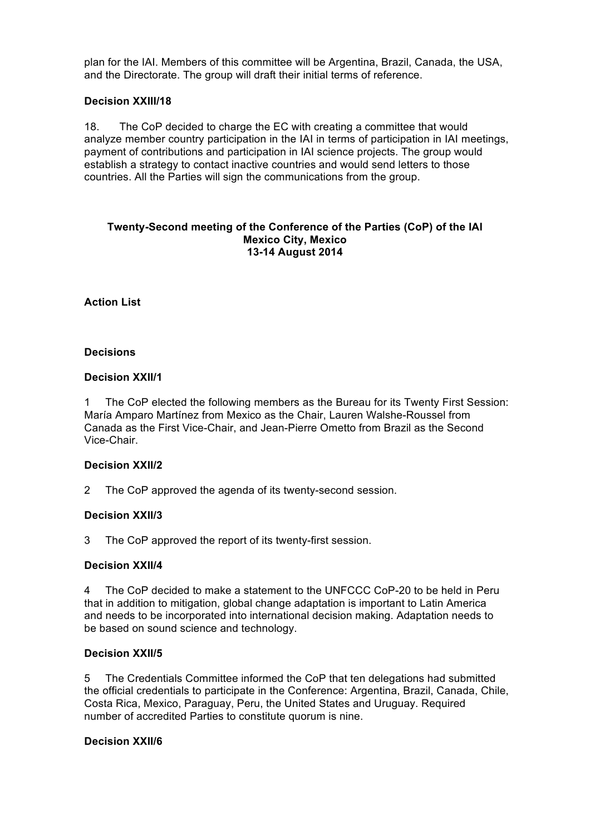plan for the IAI. Members of this committee will be Argentina, Brazil, Canada, the USA, and the Directorate. The group will draft their initial terms of reference.

### **Decision XXIII/18**

18. The CoP decided to charge the EC with creating a committee that would analyze member country participation in the IAI in terms of participation in IAI meetings, payment of contributions and participation in IAI science projects. The group would establish a strategy to contact inactive countries and would send letters to those countries. All the Parties will sign the communications from the group.

#### **Twenty-Second meeting of the Conference of the Parties (CoP) of the IAI Mexico City, Mexico 13-14 August 2014**

## **Action List**

### **Decisions**

### **Decision XXII/1**

1 The CoP elected the following members as the Bureau for its Twenty First Session: María Amparo Martínez from Mexico as the Chair, Lauren Walshe-Roussel from Canada as the First Vice-Chair, and Jean-Pierre Ometto from Brazil as the Second Vice-Chair.

## **Decision XXII/2**

2 The CoP approved the agenda of its twenty-second session.

#### **Decision XXII/3**

3 The CoP approved the report of its twenty-first session.

#### **Decision XXII/4**

4 The CoP decided to make a statement to the UNFCCC CoP-20 to be held in Peru that in addition to mitigation, global change adaptation is important to Latin America and needs to be incorporated into international decision making. Adaptation needs to be based on sound science and technology.

## **Decision XXII/5**

5 The Credentials Committee informed the CoP that ten delegations had submitted the official credentials to participate in the Conference: Argentina, Brazil, Canada, Chile, Costa Rica, Mexico, Paraguay, Peru, the United States and Uruguay. Required number of accredited Parties to constitute quorum is nine.

#### **Decision XXII/6**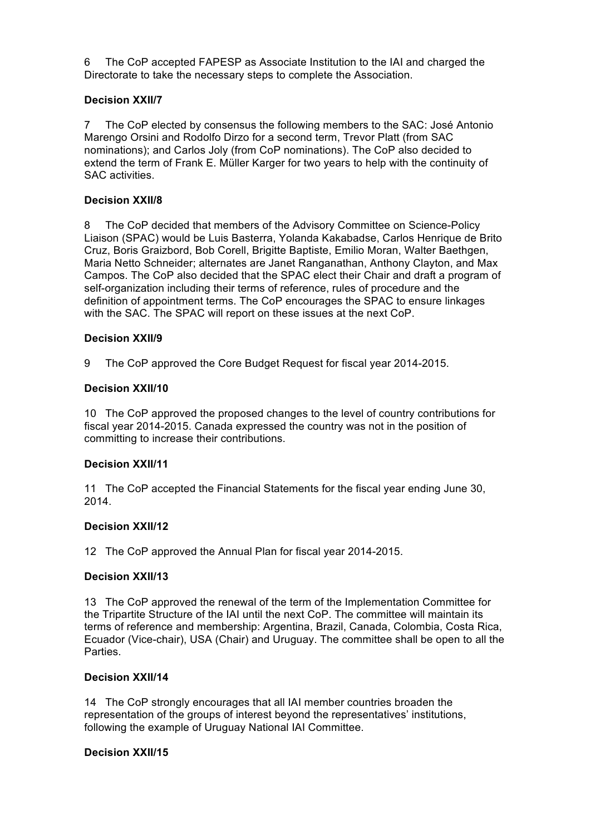6 The CoP accepted FAPESP as Associate Institution to the IAI and charged the Directorate to take the necessary steps to complete the Association.

# **Decision XXII/7**

7 The CoP elected by consensus the following members to the SAC: José Antonio Marengo Orsini and Rodolfo Dirzo for a second term, Trevor Platt (from SAC nominations); and Carlos Joly (from CoP nominations). The CoP also decided to extend the term of Frank E. Müller Karger for two years to help with the continuity of SAC activities.

## **Decision XXII/8**

8 The CoP decided that members of the Advisory Committee on Science-Policy Liaison (SPAC) would be Luis Basterra, Yolanda Kakabadse, Carlos Henrique de Brito Cruz, Boris Graizbord, Bob Corell, Brigitte Baptiste, Emilio Moran, Walter Baethgen, Maria Netto Schneider; alternates are Janet Ranganathan, Anthony Clayton, and Max Campos. The CoP also decided that the SPAC elect their Chair and draft a program of self-organization including their terms of reference, rules of procedure and the definition of appointment terms. The CoP encourages the SPAC to ensure linkages with the SAC. The SPAC will report on these issues at the next CoP.

### **Decision XXII/9**

9 The CoP approved the Core Budget Request for fiscal year 2014-2015.

### **Decision XXII/10**

10 The CoP approved the proposed changes to the level of country contributions for fiscal year 2014-2015. Canada expressed the country was not in the position of committing to increase their contributions.

#### **Decision XXII/11**

11 The CoP accepted the Financial Statements for the fiscal year ending June 30, 2014.

### **Decision XXII/12**

12 The CoP approved the Annual Plan for fiscal year 2014-2015.

#### **Decision XXII/13**

13 The CoP approved the renewal of the term of the Implementation Committee for the Tripartite Structure of the IAI until the next CoP. The committee will maintain its terms of reference and membership: Argentina, Brazil, Canada, Colombia, Costa Rica, Ecuador (Vice-chair), USA (Chair) and Uruguay. The committee shall be open to all the **Parties** 

#### **Decision XXII/14**

14 The CoP strongly encourages that all IAI member countries broaden the representation of the groups of interest beyond the representatives' institutions, following the example of Uruguay National IAI Committee.

#### **Decision XXII/15**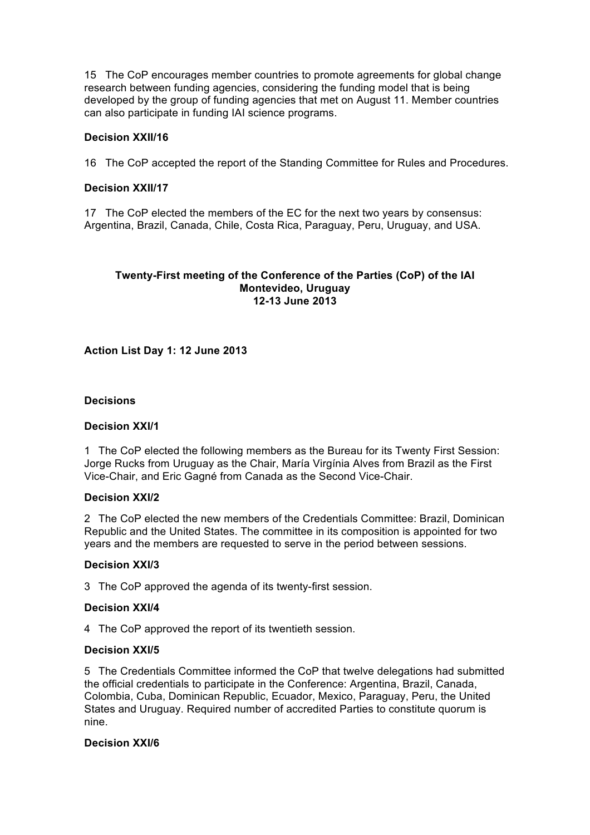15 The CoP encourages member countries to promote agreements for global change research between funding agencies, considering the funding model that is being developed by the group of funding agencies that met on August 11. Member countries can also participate in funding IAI science programs.

## **Decision XXII/16**

16 The CoP accepted the report of the Standing Committee for Rules and Procedures.

### **Decision XXII/17**

17 The CoP elected the members of the EC for the next two years by consensus: Argentina, Brazil, Canada, Chile, Costa Rica, Paraguay, Peru, Uruguay, and USA.

### **Twenty-First meeting of the Conference of the Parties (CoP) of the IAI Montevideo, Uruguay 12-13 June 2013**

## **Action List Day 1: 12 June 2013**

#### **Decisions**

#### **Decision XXI/1**

1 The CoP elected the following members as the Bureau for its Twenty First Session: Jorge Rucks from Uruguay as the Chair, María Virgínia Alves from Brazil as the First Vice-Chair, and Eric Gagné from Canada as the Second Vice-Chair.

#### **Decision XXI/2**

2 The CoP elected the new members of the Credentials Committee: Brazil, Dominican Republic and the United States. The committee in its composition is appointed for two years and the members are requested to serve in the period between sessions.

#### **Decision XXI/3**

3 The CoP approved the agenda of its twenty-first session.

#### **Decision XXI/4**

4 The CoP approved the report of its twentieth session.

#### **Decision XXI/5**

5 The Credentials Committee informed the CoP that twelve delegations had submitted the official credentials to participate in the Conference: Argentina, Brazil, Canada, Colombia, Cuba, Dominican Republic, Ecuador, Mexico, Paraguay, Peru, the United States and Uruguay. Required number of accredited Parties to constitute quorum is nine.

### **Decision XXI/6**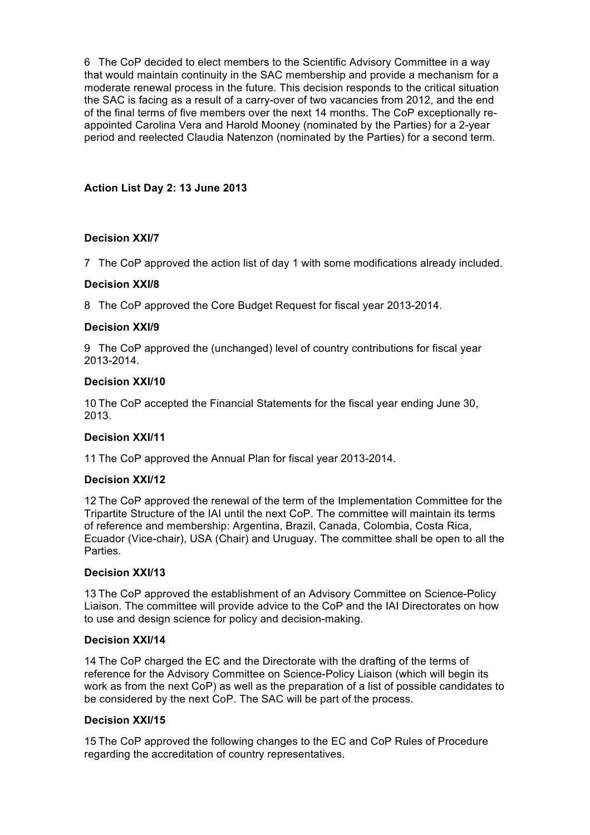6 The CoP decided to elect members to the Scientific Advisory Committee in a way that would maintain continuity in the SAC membership and provide a mechanism for a moderate renewal process in the future. This decision responds to the critical situation the SAC is facing as a result of a carry-over of two vacancies from 2012, and the end of the final terms of five members over the next 14 months. The CoP exceptionally reappointed Carolina Vera and Harold Mooney (nominated by the Parties) for a 2-year period and reelected Claudia Natenzon (nominated by the Parties) for a second term.

# **Action List Day 2: 13 June 2013**

# **Decision XXI/7**

7 The CoP approved the action list of day 1 with some modifications already included.

## **Decision XXI/8**

8 The CoP approved the Core Budget Request for fiscal year 2013-2014.

# **Decision XXI/9**

9 The CoP approved the (unchanged) level of country contributions for fiscal year 2013-2014.

## **Decision XXI/10**

10 The CoP accepted the Financial Statements for the fiscal year ending June 30, 2013.

## **Decision XXI/11**

11 The CoP approved the Annual Plan for fiscal year 2013-2014.

## **Decision XXI/12**

12 The CoP approved the renewal of the term of the Implementation Committee for the Tripartite Structure of the IAI until the next CoP. The committee will maintain its terms of reference and membership: Argentina, Brazil, Canada, Colombia, Costa Rica, Ecuador (Vice-chair), USA (Chair) and Uruguay. The committee shall be open to all the **Parties** 

# **Decision XXI/13**

13 The CoP approved the establishment of an Advisory Committee on Science-Policy Liaison. The committee will provide advice to the CoP and the IAI Directorates on how to use and design science for policy and decision-making.

## **Decision XXI/14**

14 The CoP charged the EC and the Directorate with the drafting of the terms of reference for the Advisory Committee on Science-Policy Liaison (which will begin its work as from the next CoP) as well as the preparation of a list of possible candidates to be considered by the next CoP. The SAC will be part of the process.

## **Decision XXI/15**

15 The CoP approved the following changes to the EC and CoP Rules of Procedure regarding the accreditation of country representatives.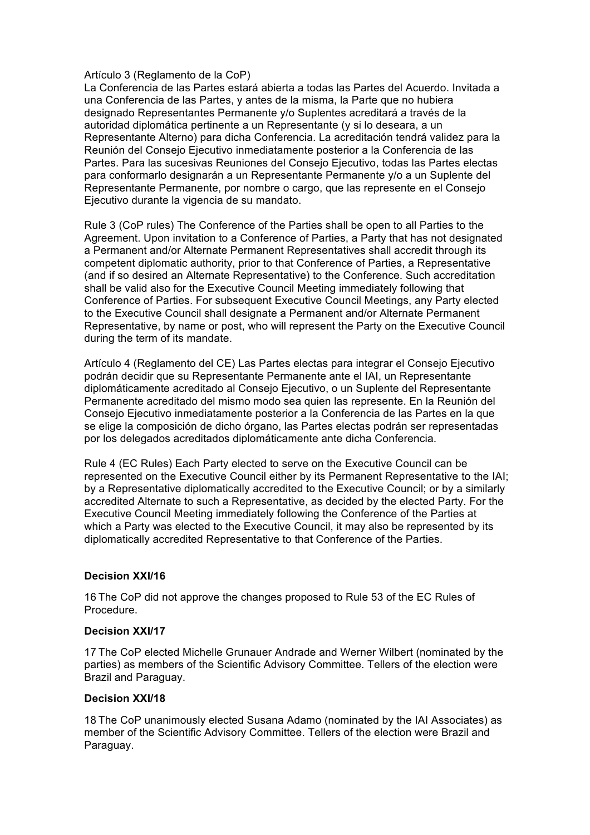## Artículo 3 (Reglamento de la CoP)

La Conferencia de las Partes estará abierta a todas las Partes del Acuerdo. Invitada a una Conferencia de las Partes, y antes de la misma, la Parte que no hubiera designado Representantes Permanente y/o Suplentes acreditará a través de la autoridad diplomática pertinente a un Representante (y si lo deseara, a un Representante Alterno) para dicha Conferencia. La acreditación tendrá validez para la Reunión del Consejo Ejecutivo inmediatamente posterior a la Conferencia de las Partes. Para las sucesivas Reuniones del Consejo Ejecutivo, todas las Partes electas para conformarlo designarán a un Representante Permanente y/o a un Suplente del Representante Permanente, por nombre o cargo, que las represente en el Consejo Ejecutivo durante la vigencia de su mandato.

Rule 3 (CoP rules) The Conference of the Parties shall be open to all Parties to the Agreement. Upon invitation to a Conference of Parties, a Party that has not designated a Permanent and/or Alternate Permanent Representatives shall accredit through its competent diplomatic authority, prior to that Conference of Parties, a Representative (and if so desired an Alternate Representative) to the Conference. Such accreditation shall be valid also for the Executive Council Meeting immediately following that Conference of Parties. For subsequent Executive Council Meetings, any Party elected to the Executive Council shall designate a Permanent and/or Alternate Permanent Representative, by name or post, who will represent the Party on the Executive Council during the term of its mandate.

Artículo 4 (Reglamento del CE) Las Partes electas para integrar el Consejo Ejecutivo podrán decidir que su Representante Permanente ante el IAI, un Representante diplomáticamente acreditado al Consejo Ejecutivo, o un Suplente del Representante Permanente acreditado del mismo modo sea quien las represente. En la Reunión del Consejo Ejecutivo inmediatamente posterior a la Conferencia de las Partes en la que se elige la composición de dicho órgano, las Partes electas podrán ser representadas por los delegados acreditados diplomáticamente ante dicha Conferencia.

Rule 4 (EC Rules) Each Party elected to serve on the Executive Council can be represented on the Executive Council either by its Permanent Representative to the IAI; by a Representative diplomatically accredited to the Executive Council; or by a similarly accredited Alternate to such a Representative, as decided by the elected Party. For the Executive Council Meeting immediately following the Conference of the Parties at which a Party was elected to the Executive Council, it may also be represented by its diplomatically accredited Representative to that Conference of the Parties.

## **Decision XXI/16**

16 The CoP did not approve the changes proposed to Rule 53 of the EC Rules of Procedure.

#### **Decision XXI/17**

17 The CoP elected Michelle Grunauer Andrade and Werner Wilbert (nominated by the parties) as members of the Scientific Advisory Committee. Tellers of the election were Brazil and Paraguay.

## **Decision XXI/18**

18 The CoP unanimously elected Susana Adamo (nominated by the IAI Associates) as member of the Scientific Advisory Committee. Tellers of the election were Brazil and Paraguay.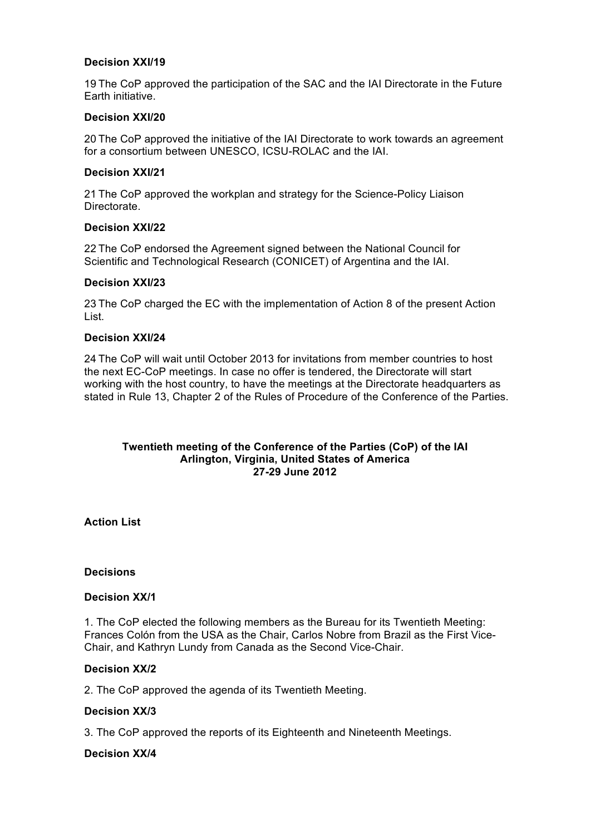### **Decision XXI/19**

19 The CoP approved the participation of the SAC and the IAI Directorate in the Future Earth initiative.

### **Decision XXI/20**

20 The CoP approved the initiative of the IAI Directorate to work towards an agreement for a consortium between UNESCO, ICSU-ROLAC and the IAI.

### **Decision XXI/21**

21 The CoP approved the workplan and strategy for the Science-Policy Liaison Directorate.

### **Decision XXI/22**

22 The CoP endorsed the Agreement signed between the National Council for Scientific and Technological Research (CONICET) of Argentina and the IAI.

#### **Decision XXI/23**

23 The CoP charged the EC with the implementation of Action 8 of the present Action List.

### **Decision XXI/24**

24 The CoP will wait until October 2013 for invitations from member countries to host the next EC-CoP meetings. In case no offer is tendered, the Directorate will start working with the host country, to have the meetings at the Directorate headquarters as stated in Rule 13, Chapter 2 of the Rules of Procedure of the Conference of the Parties.

### **Twentieth meeting of the Conference of the Parties (CoP) of the IAI Arlington, Virginia, United States of America 27-29 June 2012**

**Action List** 

#### **Decisions**

#### **Decision XX/1**

1. The CoP elected the following members as the Bureau for its Twentieth Meeting: Frances Colón from the USA as the Chair, Carlos Nobre from Brazil as the First Vice-Chair, and Kathryn Lundy from Canada as the Second Vice-Chair.

#### **Decision XX/2**

2. The CoP approved the agenda of its Twentieth Meeting.

## **Decision XX/3**

3. The CoP approved the reports of its Eighteenth and Nineteenth Meetings.

#### **Decision XX/4**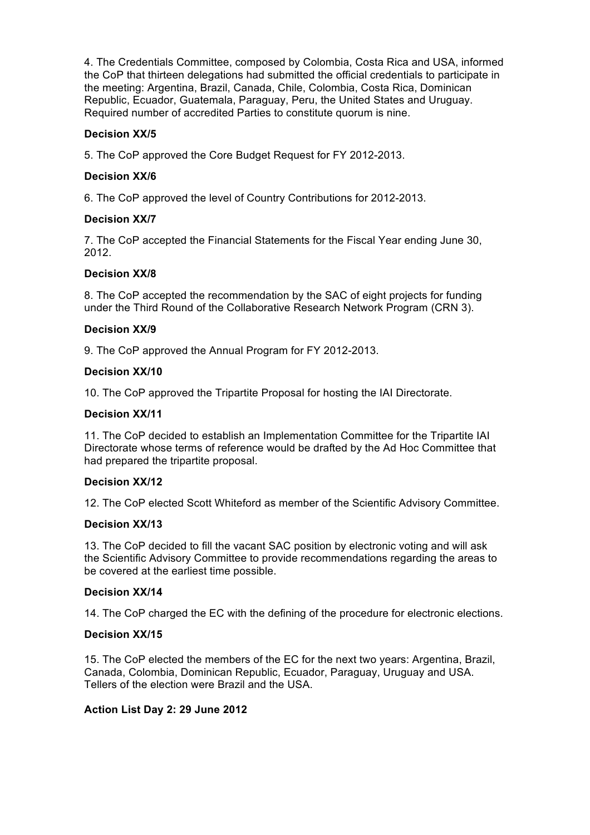4. The Credentials Committee, composed by Colombia, Costa Rica and USA, informed the CoP that thirteen delegations had submitted the official credentials to participate in the meeting: Argentina, Brazil, Canada, Chile, Colombia, Costa Rica, Dominican Republic, Ecuador, Guatemala, Paraguay, Peru, the United States and Uruguay. Required number of accredited Parties to constitute quorum is nine.

# **Decision XX/5**

5. The CoP approved the Core Budget Request for FY 2012-2013.

## **Decision XX/6**

6. The CoP approved the level of Country Contributions for 2012-2013.

## **Decision XX/7**

7. The CoP accepted the Financial Statements for the Fiscal Year ending June 30, 2012.

# **Decision XX/8**

8. The CoP accepted the recommendation by the SAC of eight projects for funding under the Third Round of the Collaborative Research Network Program (CRN 3).

## **Decision XX/9**

9. The CoP approved the Annual Program for FY 2012-2013.

## **Decision XX/10**

10. The CoP approved the Tripartite Proposal for hosting the IAI Directorate.

### **Decision XX/11**

11. The CoP decided to establish an Implementation Committee for the Tripartite IAI Directorate whose terms of reference would be drafted by the Ad Hoc Committee that had prepared the tripartite proposal.

## **Decision XX/12**

12. The CoP elected Scott Whiteford as member of the Scientific Advisory Committee.

## **Decision XX/13**

13. The CoP decided to fill the vacant SAC position by electronic voting and will ask the Scientific Advisory Committee to provide recommendations regarding the areas to be covered at the earliest time possible.

## **Decision XX/14**

14. The CoP charged the EC with the defining of the procedure for electronic elections.

## **Decision XX/15**

15. The CoP elected the members of the EC for the next two years: Argentina, Brazil, Canada, Colombia, Dominican Republic, Ecuador, Paraguay, Uruguay and USA. Tellers of the election were Brazil and the USA.

## **Action List Day 2: 29 June 2012**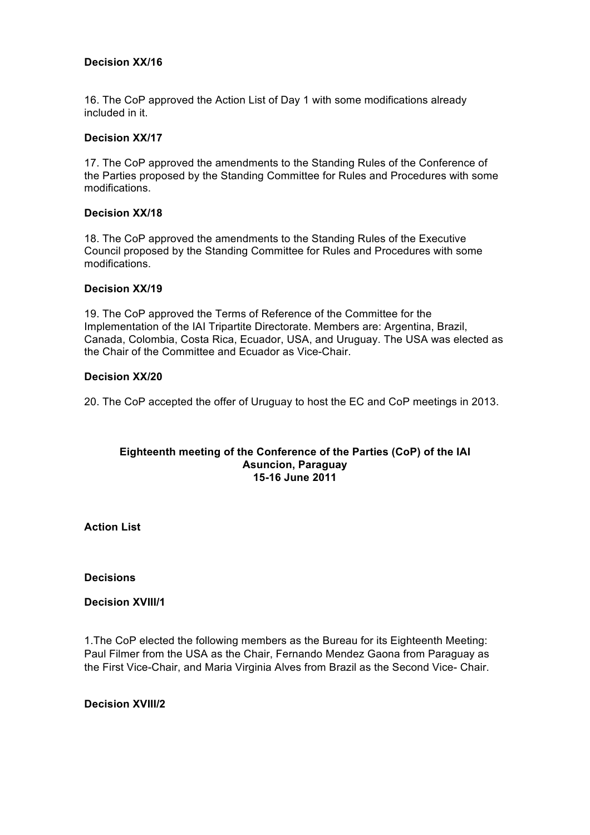## **Decision XX/16**

16. The CoP approved the Action List of Day 1 with some modifications already included in it.

## **Decision XX/17**

17. The CoP approved the amendments to the Standing Rules of the Conference of the Parties proposed by the Standing Committee for Rules and Procedures with some modifications.

### **Decision XX/18**

18. The CoP approved the amendments to the Standing Rules of the Executive Council proposed by the Standing Committee for Rules and Procedures with some modifications.

### **Decision XX/19**

19. The CoP approved the Terms of Reference of the Committee for the Implementation of the IAI Tripartite Directorate. Members are: Argentina, Brazil, Canada, Colombia, Costa Rica, Ecuador, USA, and Uruguay. The USA was elected as the Chair of the Committee and Ecuador as Vice-Chair.

### **Decision XX/20**

20. The CoP accepted the offer of Uruguay to host the EC and CoP meetings in 2013.

#### **Eighteenth meeting of the Conference of the Parties (CoP) of the IAI Asuncion, Paraguay 15-16 June 2011**

**Action List** 

**Decisions** 

### **Decision XVIII/1**

1.The CoP elected the following members as the Bureau for its Eighteenth Meeting: Paul Filmer from the USA as the Chair, Fernando Mendez Gaona from Paraguay as the First Vice-Chair, and Maria Virginia Alves from Brazil as the Second Vice- Chair.

#### **Decision XVIII/2**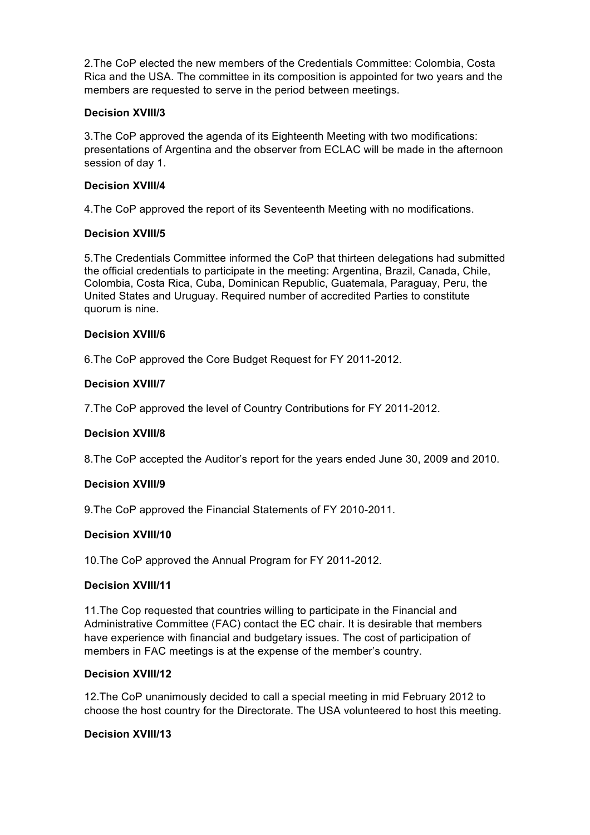2.The CoP elected the new members of the Credentials Committee: Colombia, Costa Rica and the USA. The committee in its composition is appointed for two years and the members are requested to serve in the period between meetings.

## **Decision XVIII/3**

3.The CoP approved the agenda of its Eighteenth Meeting with two modifications: presentations of Argentina and the observer from ECLAC will be made in the afternoon session of day 1.

### **Decision XVIII/4**

4.The CoP approved the report of its Seventeenth Meeting with no modifications.

### **Decision XVIII/5**

5.The Credentials Committee informed the CoP that thirteen delegations had submitted the official credentials to participate in the meeting: Argentina, Brazil, Canada, Chile, Colombia, Costa Rica, Cuba, Dominican Republic, Guatemala, Paraguay, Peru, the United States and Uruguay. Required number of accredited Parties to constitute quorum is nine.

### **Decision XVIII/6**

6.The CoP approved the Core Budget Request for FY 2011-2012.

### **Decision XVIII/7**

7.The CoP approved the level of Country Contributions for FY 2011-2012.

## **Decision XVIII/8**

8.The CoP accepted the Auditor's report for the years ended June 30, 2009 and 2010.

#### **Decision XVIII/9**

9.The CoP approved the Financial Statements of FY 2010-2011.

#### **Decision XVIII/10**

10.The CoP approved the Annual Program for FY 2011-2012.

### **Decision XVIII/11**

11.The Cop requested that countries willing to participate in the Financial and Administrative Committee (FAC) contact the EC chair. It is desirable that members have experience with financial and budgetary issues. The cost of participation of members in FAC meetings is at the expense of the member's country.

#### **Decision XVIII/12**

12.The CoP unanimously decided to call a special meeting in mid February 2012 to choose the host country for the Directorate. The USA volunteered to host this meeting.

### **Decision XVIII/13**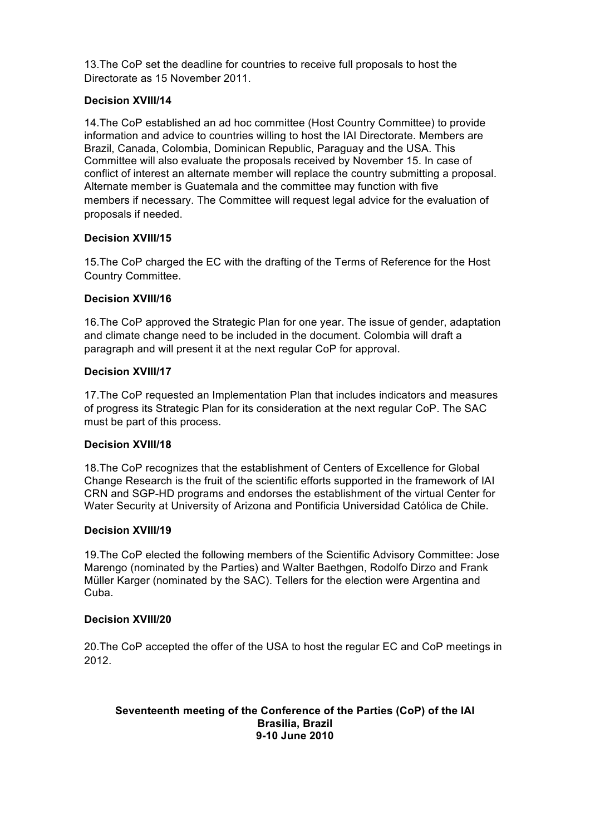13.The CoP set the deadline for countries to receive full proposals to host the Directorate as 15 November 2011.

# **Decision XVIII/14**

14.The CoP established an ad hoc committee (Host Country Committee) to provide information and advice to countries willing to host the IAI Directorate. Members are Brazil, Canada, Colombia, Dominican Republic, Paraguay and the USA. This Committee will also evaluate the proposals received by November 15. In case of conflict of interest an alternate member will replace the country submitting a proposal. Alternate member is Guatemala and the committee may function with five members if necessary. The Committee will request legal advice for the evaluation of proposals if needed.

## **Decision XVIII/15**

15.The CoP charged the EC with the drafting of the Terms of Reference for the Host Country Committee.

### **Decision XVIII/16**

16.The CoP approved the Strategic Plan for one year. The issue of gender, adaptation and climate change need to be included in the document. Colombia will draft a paragraph and will present it at the next regular CoP for approval.

### **Decision XVIII/17**

17.The CoP requested an Implementation Plan that includes indicators and measures of progress its Strategic Plan for its consideration at the next regular CoP. The SAC must be part of this process.

## **Decision XVIII/18**

18.The CoP recognizes that the establishment of Centers of Excellence for Global Change Research is the fruit of the scientific efforts supported in the framework of IAI CRN and SGP-HD programs and endorses the establishment of the virtual Center for Water Security at University of Arizona and Pontificia Universidad Católica de Chile.

#### **Decision XVIII/19**

19.The CoP elected the following members of the Scientific Advisory Committee: Jose Marengo (nominated by the Parties) and Walter Baethgen, Rodolfo Dirzo and Frank Müller Karger (nominated by the SAC). Tellers for the election were Argentina and Cuba.

#### **Decision XVIII/20**

20.The CoP accepted the offer of the USA to host the regular EC and CoP meetings in 2012.

#### **Seventeenth meeting of the Conference of the Parties (CoP) of the IAI Brasilia, Brazil 9-10 June 2010**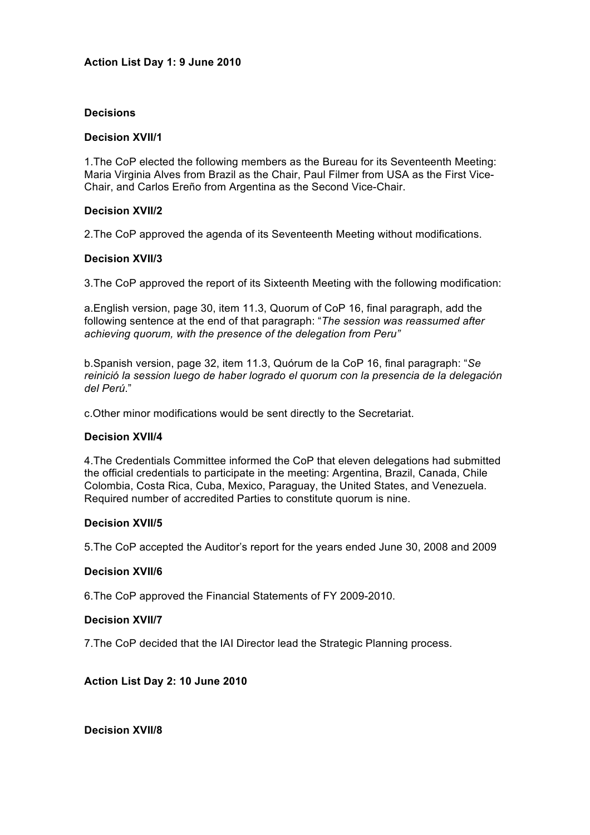### **Action List Day 1: 9 June 2010**

### **Decisions**

### **Decision XVII/1**

1.The CoP elected the following members as the Bureau for its Seventeenth Meeting: Maria Virginia Alves from Brazil as the Chair, Paul Filmer from USA as the First Vice-Chair, and Carlos Ereño from Argentina as the Second Vice-Chair.

### **Decision XVII/2**

2.The CoP approved the agenda of its Seventeenth Meeting without modifications.

### **Decision XVII/3**

3.The CoP approved the report of its Sixteenth Meeting with the following modification:

a.English version, page 30, item 11.3, Quorum of CoP 16, final paragraph, add the following sentence at the end of that paragraph: "*The session was reassumed after achieving quorum, with the presence of the delegation from Peru"*

b.Spanish version, page 32, item 11.3, Quórum de la CoP 16, final paragraph: "*Se reinició la session luego de haber logrado el quorum con la presencia de la delegación del Perú*."

c.Other minor modifications would be sent directly to the Secretariat.

#### **Decision XVII/4**

4.The Credentials Committee informed the CoP that eleven delegations had submitted the official credentials to participate in the meeting: Argentina, Brazil, Canada, Chile Colombia, Costa Rica, Cuba, Mexico, Paraguay, the United States, and Venezuela. Required number of accredited Parties to constitute quorum is nine.

#### **Decision XVII/5**

5.The CoP accepted the Auditor's report for the years ended June 30, 2008 and 2009

#### **Decision XVII/6**

6.The CoP approved the Financial Statements of FY 2009-2010.

#### **Decision XVII/7**

7.The CoP decided that the IAI Director lead the Strategic Planning process.

# **Action List Day 2: 10 June 2010**

**Decision XVII/8**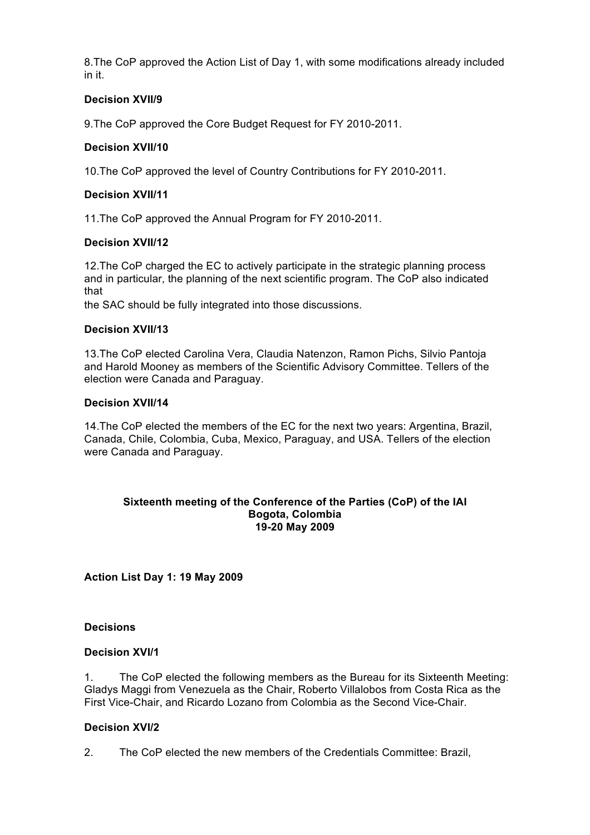8.The CoP approved the Action List of Day 1, with some modifications already included in it.

# **Decision XVII/9**

9.The CoP approved the Core Budget Request for FY 2010-2011.

## **Decision XVII/10**

10.The CoP approved the level of Country Contributions for FY 2010-2011.

# **Decision XVII/11**

11.The CoP approved the Annual Program for FY 2010-2011.

## **Decision XVII/12**

12.The CoP charged the EC to actively participate in the strategic planning process and in particular, the planning of the next scientific program. The CoP also indicated that

the SAC should be fully integrated into those discussions.

# **Decision XVII/13**

13.The CoP elected Carolina Vera, Claudia Natenzon, Ramon Pichs, Silvio Pantoja and Harold Mooney as members of the Scientific Advisory Committee. Tellers of the election were Canada and Paraguay.

## **Decision XVII/14**

14.The CoP elected the members of the EC for the next two years: Argentina, Brazil, Canada, Chile, Colombia, Cuba, Mexico, Paraguay, and USA. Tellers of the election were Canada and Paraguay.

### **Sixteenth meeting of the Conference of the Parties (CoP) of the IAI Bogota, Colombia 19-20 May 2009**

**Action List Day 1: 19 May 2009** 

## **Decisions**

## **Decision XVI/1**

1. The CoP elected the following members as the Bureau for its Sixteenth Meeting: Gladys Maggi from Venezuela as the Chair, Roberto Villalobos from Costa Rica as the First Vice-Chair, and Ricardo Lozano from Colombia as the Second Vice-Chair.

## **Decision XVI/2**

2. The CoP elected the new members of the Credentials Committee: Brazil,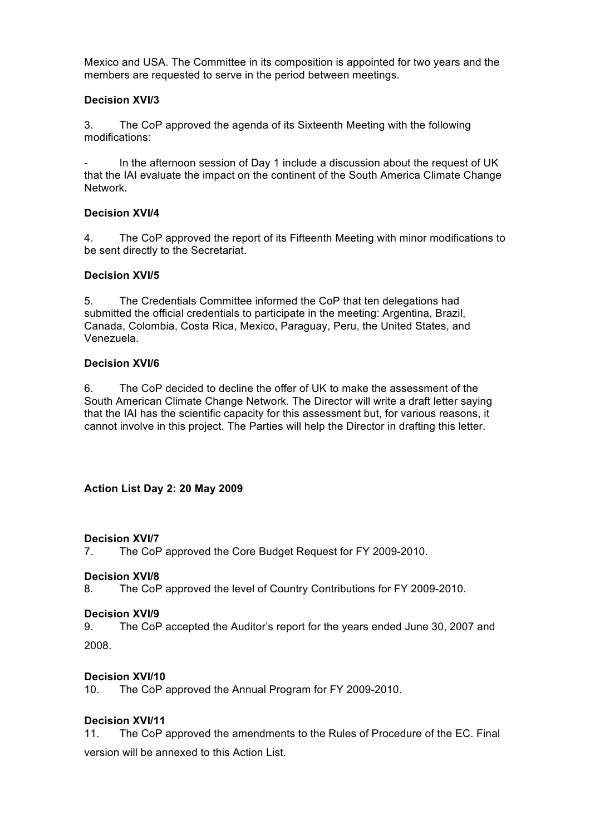Mexico and USA. The Committee in its composition is appointed for two years and the members are requested to serve in the period between meetings.

# **Decision XVI/3**

3. The CoP approved the agenda of its Sixteenth Meeting with the following modifications:

In the afternoon session of Day 1 include a discussion about the request of UK that the IAI evaluate the impact on the continent of the South America Climate Change Network.

## **Decision XVI/4**

4. The CoP approved the report of its Fifteenth Meeting with minor modifications to be sent directly to the Secretariat.

## **Decision XVI/5**

5. The Credentials Committee informed the CoP that ten delegations had submitted the official credentials to participate in the meeting: Argentina, Brazil, Canada, Colombia, Costa Rica, Mexico, Paraguay, Peru, the United States, and Venezuela.

## **Decision XVI/6**

6. The CoP decided to decline the offer of UK to make the assessment of the South American Climate Change Network. The Director will write a draft letter saying that the IAI has the scientific capacity for this assessment but, for various reasons, it cannot involve in this project. The Parties will help the Director in drafting this letter.

# **Action List Day 2: 20 May 2009**

## **Decision XVI/7**

7. The CoP approved the Core Budget Request for FY 2009-2010.

## **Decision XVI/8**

8. The CoP approved the level of Country Contributions for FY 2009-2010.

## **Decision XVI/9**

9. The CoP accepted the Auditor's report for the years ended June 30, 2007 and 2008.

## **Decision XVI/10**

10. The CoP approved the Annual Program for FY 2009-2010.

## **Decision XVI/11**

11. The CoP approved the amendments to the Rules of Procedure of the EC. Final version will be annexed to this Action List.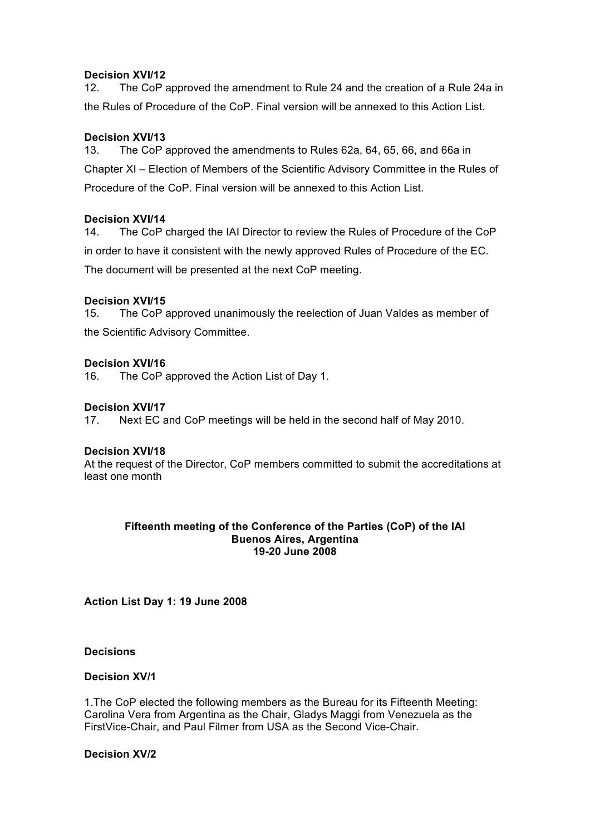### **Decision XVI/12**

12. The CoP approved the amendment to Rule 24 and the creation of a Rule 24a in the Rules of Procedure of the CoP. Final version will be annexed to this Action List.

## **Decision XVI/13**

13. The CoP approved the amendments to Rules 62a, 64, 65, 66, and 66a in Chapter XI – Election of Members of the Scientific Advisory Committee in the Rules of Procedure of the CoP. Final version will be annexed to this Action List.

### **Decision XVI/14**

14. The CoP charged the IAI Director to review the Rules of Procedure of the CoP in order to have it consistent with the newly approved Rules of Procedure of the EC. The document will be presented at the next CoP meeting.

### **Decision XVI/15**

15. The CoP approved unanimously the reelection of Juan Valdes as member of the Scientific Advisory Committee.

### **Decision XVI/16**

16. The CoP approved the Action List of Day 1.

### **Decision XVI/17**

17. Next EC and CoP meetings will be held in the second half of May 2010.

#### **Decision XVI/18**

At the request of the Director, CoP members committed to submit the accreditations at least one month

### **Fifteenth meeting of the Conference of the Parties (CoP) of the IAI Buenos Aires, Argentina 19-20 June 2008**

**Action List Day 1: 19 June 2008** 

**Decisions** 

#### **Decision XV/1**

1.The CoP elected the following members as the Bureau for its Fifteenth Meeting: Carolina Vera from Argentina as the Chair, Gladys Maggi from Venezuela as the FirstVice-Chair, and Paul Filmer from USA as the Second Vice-Chair.

### **Decision XV/2**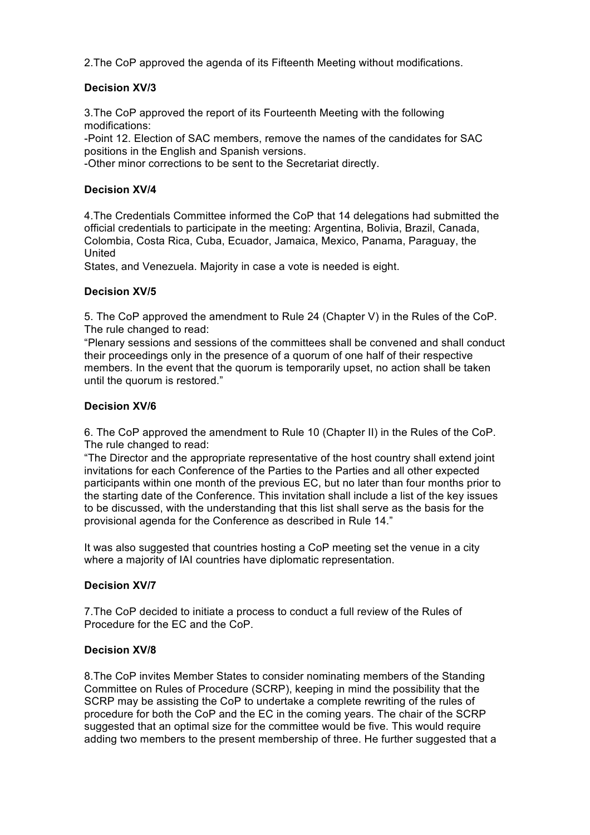2.The CoP approved the agenda of its Fifteenth Meeting without modifications.

# **Decision XV/3**

3.The CoP approved the report of its Fourteenth Meeting with the following modifications:

-Point 12. Election of SAC members, remove the names of the candidates for SAC positions in the English and Spanish versions.

-Other minor corrections to be sent to the Secretariat directly.

# **Decision XV/4**

4.The Credentials Committee informed the CoP that 14 delegations had submitted the official credentials to participate in the meeting: Argentina, Bolivia, Brazil, Canada, Colombia, Costa Rica, Cuba, Ecuador, Jamaica, Mexico, Panama, Paraguay, the United

States, and Venezuela. Majority in case a vote is needed is eight.

## **Decision XV/5**

5. The CoP approved the amendment to Rule 24 (Chapter V) in the Rules of the CoP. The rule changed to read:

"Plenary sessions and sessions of the committees shall be convened and shall conduct their proceedings only in the presence of a quorum of one half of their respective members. In the event that the quorum is temporarily upset, no action shall be taken until the quorum is restored."

# **Decision XV/6**

6. The CoP approved the amendment to Rule 10 (Chapter II) in the Rules of the CoP. The rule changed to read:

"The Director and the appropriate representative of the host country shall extend joint invitations for each Conference of the Parties to the Parties and all other expected participants within one month of the previous EC, but no later than four months prior to the starting date of the Conference. This invitation shall include a list of the key issues to be discussed, with the understanding that this list shall serve as the basis for the provisional agenda for the Conference as described in Rule 14."

It was also suggested that countries hosting a CoP meeting set the venue in a city where a majority of IAI countries have diplomatic representation.

## **Decision XV/7**

7.The CoP decided to initiate a process to conduct a full review of the Rules of Procedure for the EC and the CoP.

## **Decision XV/8**

8.The CoP invites Member States to consider nominating members of the Standing Committee on Rules of Procedure (SCRP), keeping in mind the possibility that the SCRP may be assisting the CoP to undertake a complete rewriting of the rules of procedure for both the CoP and the EC in the coming years. The chair of the SCRP suggested that an optimal size for the committee would be five. This would require adding two members to the present membership of three. He further suggested that a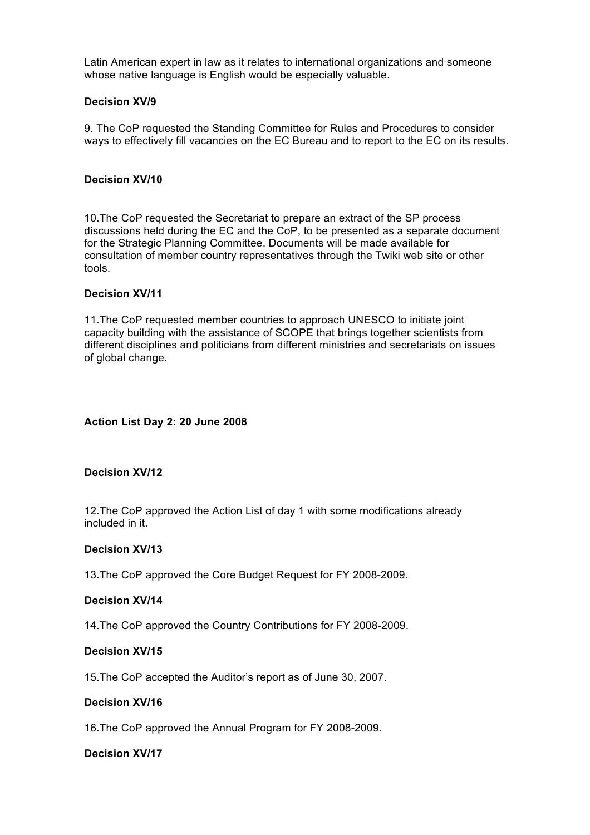Latin American expert in law as it relates to international organizations and someone whose native language is English would be especially valuable.

### **Decision XV/9**

9. The CoP requested the Standing Committee for Rules and Procedures to consider ways to effectively fill vacancies on the EC Bureau and to report to the EC on its results.

### **Decision XV/10**

10.The CoP requested the Secretariat to prepare an extract of the SP process discussions held during the EC and the CoP, to be presented as a separate document for the Strategic Planning Committee. Documents will be made available for consultation of member country representatives through the Twiki web site or other tools.

### **Decision XV/11**

11.The CoP requested member countries to approach UNESCO to initiate joint capacity building with the assistance of SCOPE that brings together scientists from different disciplines and politicians from different ministries and secretariats on issues of global change.

### **Action List Day 2: 20 June 2008**

### **Decision XV/12**

12.The CoP approved the Action List of day 1 with some modifications already included in it.

### **Decision XV/13**

13.The CoP approved the Core Budget Request for FY 2008-2009.

#### **Decision XV/14**

14.The CoP approved the Country Contributions for FY 2008-2009.

### **Decision XV/15**

15.The CoP accepted the Auditor's report as of June 30, 2007.

## **Decision XV/16**

16.The CoP approved the Annual Program for FY 2008-2009.

### **Decision XV/17**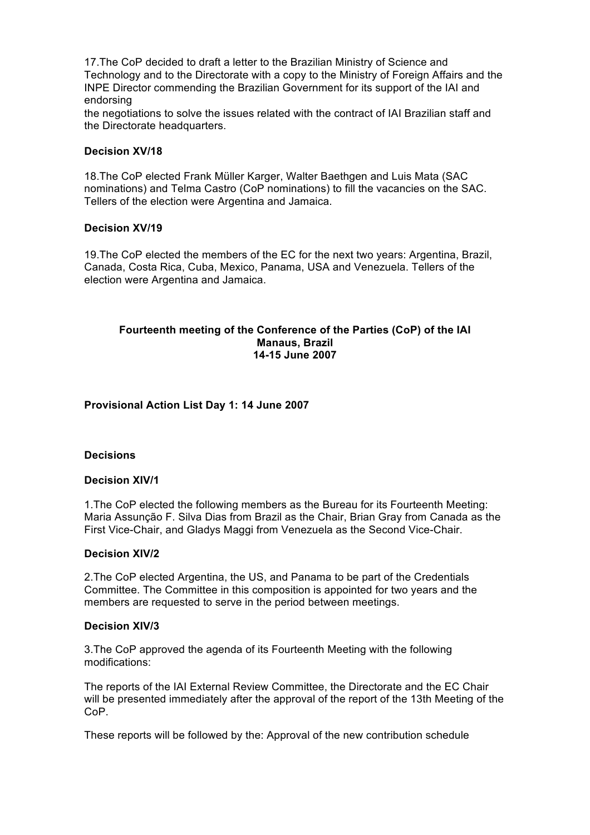17.The CoP decided to draft a letter to the Brazilian Ministry of Science and Technology and to the Directorate with a copy to the Ministry of Foreign Affairs and the INPE Director commending the Brazilian Government for its support of the IAI and endorsing

the negotiations to solve the issues related with the contract of IAI Brazilian staff and the Directorate headquarters.

### **Decision XV/18**

18.The CoP elected Frank Müller Karger, Walter Baethgen and Luis Mata (SAC nominations) and Telma Castro (CoP nominations) to fill the vacancies on the SAC. Tellers of the election were Argentina and Jamaica.

### **Decision XV/19**

19.The CoP elected the members of the EC for the next two years: Argentina, Brazil, Canada, Costa Rica, Cuba, Mexico, Panama, USA and Venezuela. Tellers of the election were Argentina and Jamaica.

### **Fourteenth meeting of the Conference of the Parties (CoP) of the IAI Manaus, Brazil 14-15 June 2007**

### **Provisional Action List Day 1: 14 June 2007**

#### **Decisions**

#### **Decision XIV/1**

1.The CoP elected the following members as the Bureau for its Fourteenth Meeting: Maria Assunção F. Silva Dias from Brazil as the Chair, Brian Gray from Canada as the First Vice-Chair, and Gladys Maggi from Venezuela as the Second Vice-Chair.

#### **Decision XIV/2**

2.The CoP elected Argentina, the US, and Panama to be part of the Credentials Committee. The Committee in this composition is appointed for two years and the members are requested to serve in the period between meetings.

#### **Decision XIV/3**

3.The CoP approved the agenda of its Fourteenth Meeting with the following modifications:

The reports of the IAI External Review Committee, the Directorate and the EC Chair will be presented immediately after the approval of the report of the 13th Meeting of the CoP.

These reports will be followed by the: Approval of the new contribution schedule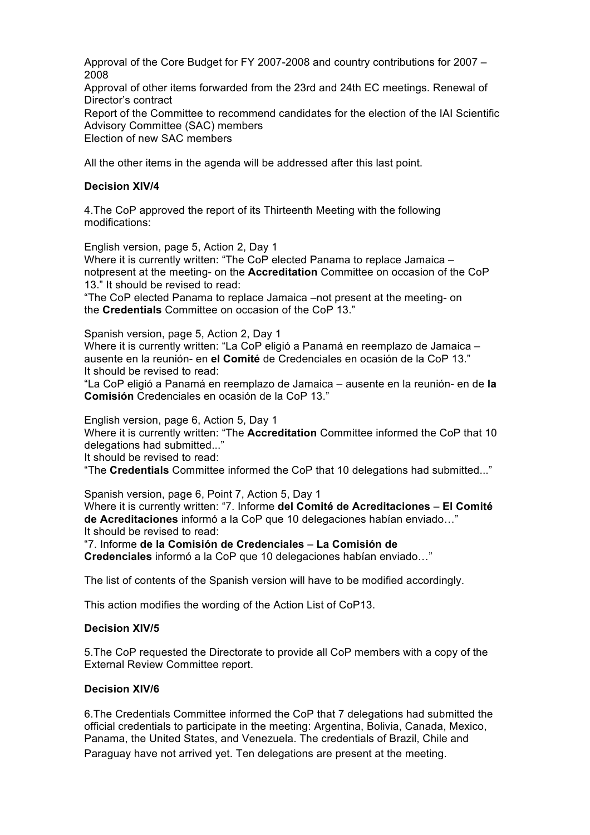Approval of the Core Budget for FY 2007-2008 and country contributions for 2007 – 2008 Approval of other items forwarded from the 23rd and 24th EC meetings. Renewal of Director's contract Report of the Committee to recommend candidates for the election of the IAI Scientific Advisory Committee (SAC) members Election of new SAC members

All the other items in the agenda will be addressed after this last point.

### **Decision XIV/4**

4.The CoP approved the report of its Thirteenth Meeting with the following modifications:

English version, page 5, Action 2, Day 1

Where it is currently written: "The CoP elected Panama to replace Jamaica – notpresent at the meeting- on the **Accreditation** Committee on occasion of the CoP 13." It should be revised to read:

"The CoP elected Panama to replace Jamaica –not present at the meeting- on the **Credentials** Committee on occasion of the CoP 13."

Spanish version, page 5, Action 2, Day 1

Where it is currently written: "La CoP eligió a Panamá en reemplazo de Jamaica – ausente en la reunión- en **el Comité** de Credenciales en ocasión de la CoP 13." It should be revised to read:

"La CoP eligió a Panamá en reemplazo de Jamaica – ausente en la reunión- en de **la Comisión** Credenciales en ocasión de la CoP 13."

English version, page 6, Action 5, Day 1

Where it is currently written: "The **Accreditation** Committee informed the CoP that 10 delegations had submitted..."

It should be revised to read:

"The **Credentials** Committee informed the CoP that 10 delegations had submitted..."

Spanish version, page 6, Point 7, Action 5, Day 1

Where it is currently written: "7. Informe **del Comité de Acreditaciones** – **El Comité de Acreditaciones** informó a la CoP que 10 delegaciones habían enviado…" It should be revised to read:

"7. Informe **de la Comisión de Credenciales** – **La Comisión de** 

**Credenciales** informó a la CoP que 10 delegaciones habían enviado…"

The list of contents of the Spanish version will have to be modified accordingly.

This action modifies the wording of the Action List of CoP13.

#### **Decision XIV/5**

5.The CoP requested the Directorate to provide all CoP members with a copy of the External Review Committee report.

### **Decision XIV/6**

6.The Credentials Committee informed the CoP that 7 delegations had submitted the official credentials to participate in the meeting: Argentina, Bolivia, Canada, Mexico, Panama, the United States, and Venezuela. The credentials of Brazil, Chile and Paraguay have not arrived yet. Ten delegations are present at the meeting.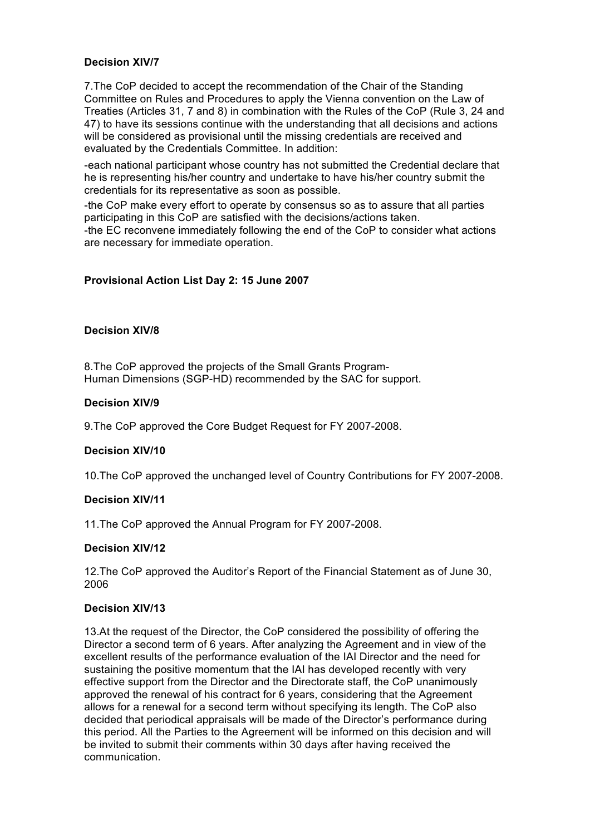## **Decision XIV/7**

7.The CoP decided to accept the recommendation of the Chair of the Standing Committee on Rules and Procedures to apply the Vienna convention on the Law of Treaties (Articles 31, 7 and 8) in combination with the Rules of the CoP (Rule 3, 24 and 47) to have its sessions continue with the understanding that all decisions and actions will be considered as provisional until the missing credentials are received and evaluated by the Credentials Committee. In addition:

-each national participant whose country has not submitted the Credential declare that he is representing his/her country and undertake to have his/her country submit the credentials for its representative as soon as possible.

-the CoP make every effort to operate by consensus so as to assure that all parties participating in this CoP are satisfied with the decisions/actions taken. -the EC reconvene immediately following the end of the CoP to consider what actions

are necessary for immediate operation.

## **Provisional Action List Day 2: 15 June 2007**

### **Decision XIV/8**

8.The CoP approved the projects of the Small Grants Program-Human Dimensions (SGP-HD) recommended by the SAC for support.

### **Decision XIV/9**

9.The CoP approved the Core Budget Request for FY 2007-2008.

#### **Decision XIV/10**

10.The CoP approved the unchanged level of Country Contributions for FY 2007-2008.

## **Decision XIV/11**

11.The CoP approved the Annual Program for FY 2007-2008.

## **Decision XIV/12**

12.The CoP approved the Auditor's Report of the Financial Statement as of June 30, 2006

### **Decision XIV/13**

13.At the request of the Director, the CoP considered the possibility of offering the Director a second term of 6 years. After analyzing the Agreement and in view of the excellent results of the performance evaluation of the IAI Director and the need for sustaining the positive momentum that the IAI has developed recently with very effective support from the Director and the Directorate staff, the CoP unanimously approved the renewal of his contract for 6 years, considering that the Agreement allows for a renewal for a second term without specifying its length. The CoP also decided that periodical appraisals will be made of the Director's performance during this period. All the Parties to the Agreement will be informed on this decision and will be invited to submit their comments within 30 days after having received the communication.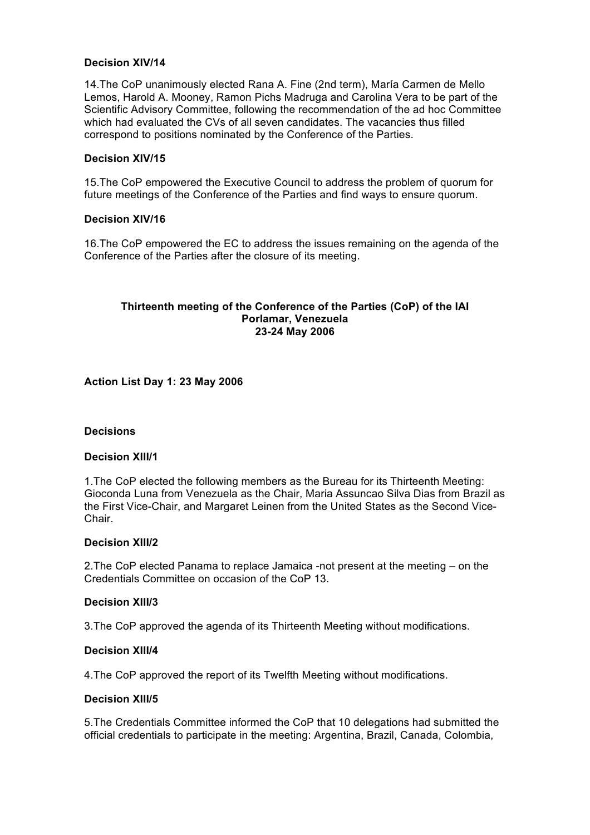### **Decision XIV/14**

14.The CoP unanimously elected Rana A. Fine (2nd term), María Carmen de Mello Lemos, Harold A. Mooney, Ramon Pichs Madruga and Carolina Vera to be part of the Scientific Advisory Committee, following the recommendation of the ad hoc Committee which had evaluated the CVs of all seven candidates. The vacancies thus filled correspond to positions nominated by the Conference of the Parties.

### **Decision XIV/15**

15.The CoP empowered the Executive Council to address the problem of quorum for future meetings of the Conference of the Parties and find ways to ensure quorum.

#### **Decision XIV/16**

16.The CoP empowered the EC to address the issues remaining on the agenda of the Conference of the Parties after the closure of its meeting.

### **Thirteenth meeting of the Conference of the Parties (CoP) of the IAI Porlamar, Venezuela 23-24 May 2006**

**Action List Day 1: 23 May 2006** 

#### **Decisions**

#### **Decision XIII/1**

1.The CoP elected the following members as the Bureau for its Thirteenth Meeting: Gioconda Luna from Venezuela as the Chair, Maria Assuncao Silva Dias from Brazil as the First Vice-Chair, and Margaret Leinen from the United States as the Second Vice-Chair.

#### **Decision XIII/2**

2.The CoP elected Panama to replace Jamaica -not present at the meeting – on the Credentials Committee on occasion of the CoP 13.

#### **Decision XIII/3**

3.The CoP approved the agenda of its Thirteenth Meeting without modifications.

### **Decision XIII/4**

4.The CoP approved the report of its Twelfth Meeting without modifications.

#### **Decision XIII/5**

5.The Credentials Committee informed the CoP that 10 delegations had submitted the official credentials to participate in the meeting: Argentina, Brazil, Canada, Colombia,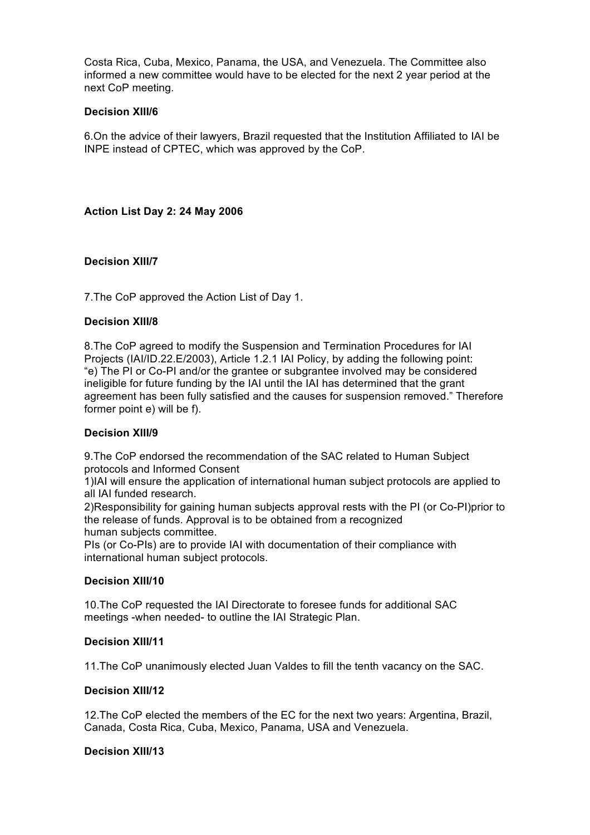Costa Rica, Cuba, Mexico, Panama, the USA, and Venezuela. The Committee also informed a new committee would have to be elected for the next 2 year period at the next CoP meeting.

## **Decision XIII/6**

6.On the advice of their lawyers, Brazil requested that the Institution Affiliated to IAI be INPE instead of CPTEC, which was approved by the CoP.

## **Action List Day 2: 24 May 2006**

## **Decision XIII/7**

7.The CoP approved the Action List of Day 1.

## **Decision XIII/8**

8.The CoP agreed to modify the Suspension and Termination Procedures for IAI Projects (IAI/ID.22.E/2003), Article 1.2.1 IAI Policy, by adding the following point: "e) The PI or Co-PI and/or the grantee or subgrantee involved may be considered ineligible for future funding by the IAI until the IAI has determined that the grant agreement has been fully satisfied and the causes for suspension removed." Therefore former point e) will be f).

## **Decision XIII/9**

9.The CoP endorsed the recommendation of the SAC related to Human Subject protocols and Informed Consent

1)IAI will ensure the application of international human subject protocols are applied to all IAI funded research.

2)Responsibility for gaining human subjects approval rests with the PI (or Co-PI)prior to the release of funds. Approval is to be obtained from a recognized human subjects committee.

PIs (or Co-PIs) are to provide IAI with documentation of their compliance with international human subject protocols.

## **Decision XIII/10**

10.The CoP requested the IAI Directorate to foresee funds for additional SAC meetings -when needed- to outline the IAI Strategic Plan.

## **Decision XIII/11**

11.The CoP unanimously elected Juan Valdes to fill the tenth vacancy on the SAC.

## **Decision XIII/12**

12.The CoP elected the members of the EC for the next two years: Argentina, Brazil, Canada, Costa Rica, Cuba, Mexico, Panama, USA and Venezuela.

## **Decision XIII/13**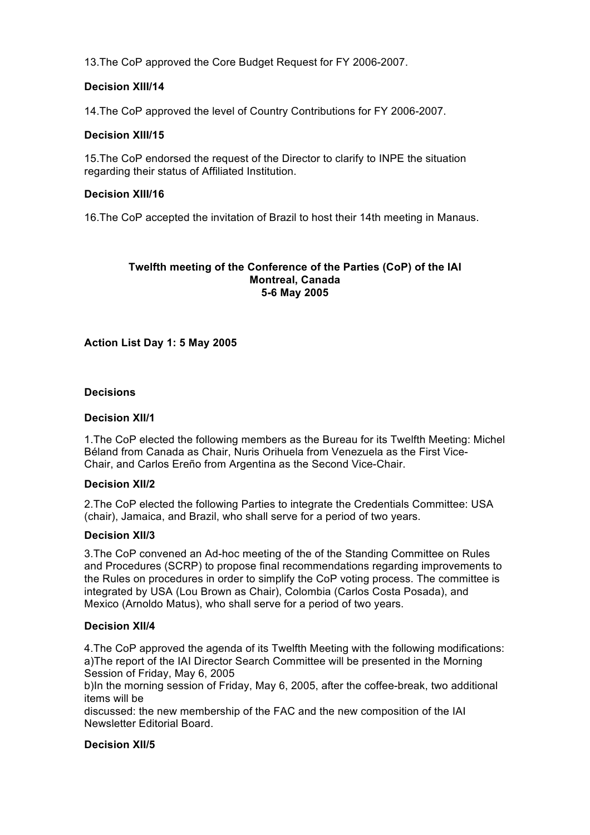13.The CoP approved the Core Budget Request for FY 2006-2007.

# **Decision XIII/14**

14.The CoP approved the level of Country Contributions for FY 2006-2007.

# **Decision XIII/15**

15.The CoP endorsed the request of the Director to clarify to INPE the situation regarding their status of Affiliated Institution.

## **Decision XIII/16**

16.The CoP accepted the invitation of Brazil to host their 14th meeting in Manaus.

#### **Twelfth meeting of the Conference of the Parties (CoP) of the IAI Montreal, Canada 5-6 May 2005**

# **Action List Day 1: 5 May 2005**

### **Decisions**

### **Decision XII/1**

1.The CoP elected the following members as the Bureau for its Twelfth Meeting: Michel Béland from Canada as Chair, Nuris Orihuela from Venezuela as the First Vice-Chair, and Carlos Ereño from Argentina as the Second Vice-Chair.

## **Decision XII/2**

2.The CoP elected the following Parties to integrate the Credentials Committee: USA (chair), Jamaica, and Brazil, who shall serve for a period of two years.

#### **Decision XII/3**

3.The CoP convened an Ad-hoc meeting of the of the Standing Committee on Rules and Procedures (SCRP) to propose final recommendations regarding improvements to the Rules on procedures in order to simplify the CoP voting process. The committee is integrated by USA (Lou Brown as Chair), Colombia (Carlos Costa Posada), and Mexico (Arnoldo Matus), who shall serve for a period of two years.

## **Decision XII/4**

4.The CoP approved the agenda of its Twelfth Meeting with the following modifications: a)The report of the IAI Director Search Committee will be presented in the Morning Session of Friday, May 6, 2005

b)In the morning session of Friday, May 6, 2005, after the coffee-break, two additional items will be

discussed: the new membership of the FAC and the new composition of the IAI Newsletter Editorial Board.

#### **Decision XII/5**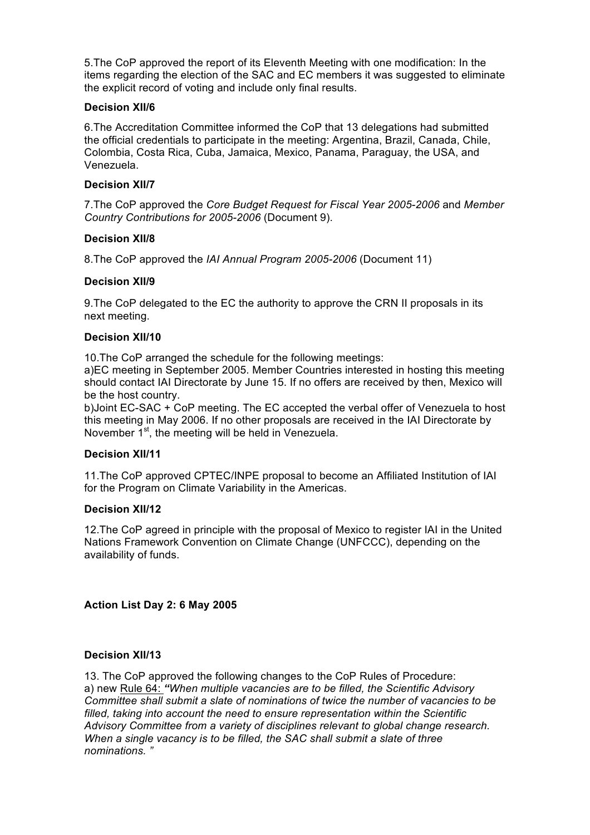5.The CoP approved the report of its Eleventh Meeting with one modification: In the items regarding the election of the SAC and EC members it was suggested to eliminate the explicit record of voting and include only final results.

## **Decision XII/6**

6.The Accreditation Committee informed the CoP that 13 delegations had submitted the official credentials to participate in the meeting: Argentina, Brazil, Canada, Chile, Colombia, Costa Rica, Cuba, Jamaica, Mexico, Panama, Paraguay, the USA, and Venezuela.

### **Decision XII/7**

7.The CoP approved the *Core Budget Request for Fiscal Year 2005-2006* and *Member Country Contributions for 2005-2006* (Document 9).

### **Decision XII/8**

8.The CoP approved the *IAI Annual Program 2005-2006* (Document 11)

### **Decision XII/9**

9.The CoP delegated to the EC the authority to approve the CRN II proposals in its next meeting.

### **Decision XII/10**

10.The CoP arranged the schedule for the following meetings:

a)EC meeting in September 2005. Member Countries interested in hosting this meeting should contact IAI Directorate by June 15. If no offers are received by then, Mexico will be the host country.

b)Joint EC-SAC + CoP meeting. The EC accepted the verbal offer of Venezuela to host this meeting in May 2006. If no other proposals are received in the IAI Directorate by November  $1<sup>st</sup>$ , the meeting will be held in Venezuela.

#### **Decision XII/11**

11.The CoP approved CPTEC/INPE proposal to become an Affiliated Institution of IAI for the Program on Climate Variability in the Americas.

## **Decision XII/12**

12.The CoP agreed in principle with the proposal of Mexico to register IAI in the United Nations Framework Convention on Climate Change (UNFCCC), depending on the availability of funds.

**Action List Day 2: 6 May 2005** 

## **Decision XII/13**

13. The CoP approved the following changes to the CoP Rules of Procedure: a) new Rule 64: *"When multiple vacancies are to be filled, the Scientific Advisory Committee shall submit a slate of nominations of twice the number of vacancies to be filled, taking into account the need to ensure representation within the Scientific Advisory Committee from a variety of disciplines relevant to global change research. When a single vacancy is to be filled, the SAC shall submit a slate of three nominations. "*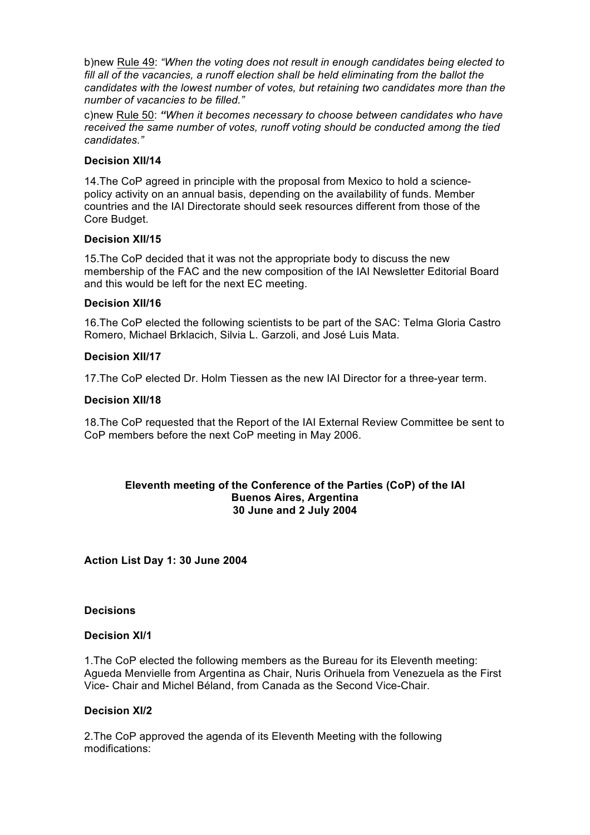b)new Rule 49: *"When the voting does not result in enough candidates being elected to*  fill all of the vacancies, a runoff election shall be held eliminating from the ballot the *candidates with the lowest number of votes, but retaining two candidates more than the number of vacancies to be filled."*

c)new Rule 50: *"When it becomes necessary to choose between candidates who have received the same number of votes, runoff voting should be conducted among the tied candidates."*

## **Decision XII/14**

14.The CoP agreed in principle with the proposal from Mexico to hold a sciencepolicy activity on an annual basis, depending on the availability of funds. Member countries and the IAI Directorate should seek resources different from those of the Core Budget.

### **Decision XII/15**

15.The CoP decided that it was not the appropriate body to discuss the new membership of the FAC and the new composition of the IAI Newsletter Editorial Board and this would be left for the next EC meeting.

### **Decision XII/16**

16.The CoP elected the following scientists to be part of the SAC: Telma Gloria Castro Romero, Michael Brklacich, Silvia L. Garzoli, and José Luis Mata.

### **Decision XII/17**

17.The CoP elected Dr. Holm Tiessen as the new IAI Director for a three-year term.

### **Decision XII/18**

18.The CoP requested that the Report of the IAI External Review Committee be sent to CoP members before the next CoP meeting in May 2006.

### **Eleventh meeting of the Conference of the Parties (CoP) of the IAI Buenos Aires, Argentina 30 June and 2 July 2004**

**Action List Day 1: 30 June 2004** 

### **Decisions**

#### **Decision XI/1**

1.The CoP elected the following members as the Bureau for its Eleventh meeting: Agueda Menvielle from Argentina as Chair, Nuris Orihuela from Venezuela as the First Vice- Chair and Michel Béland, from Canada as the Second Vice-Chair.

#### **Decision XI/2**

2.The CoP approved the agenda of its Eleventh Meeting with the following modifications: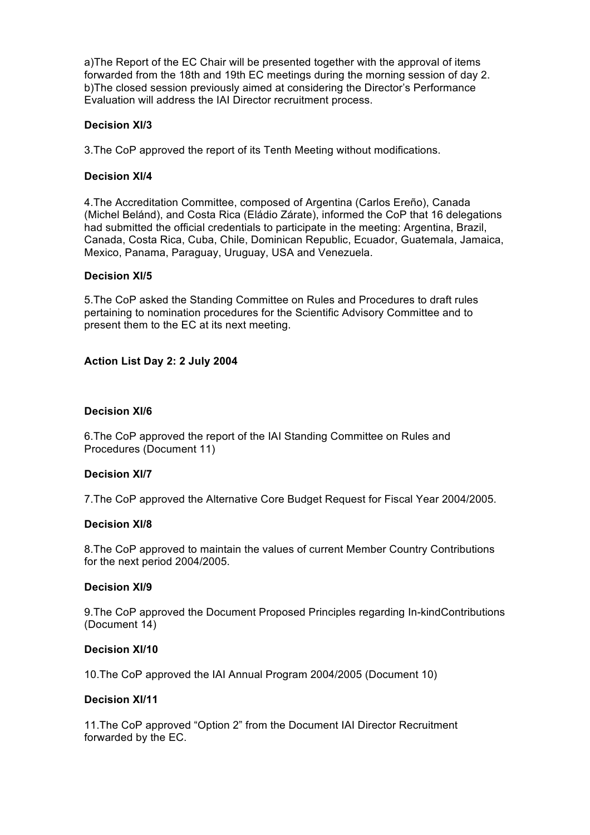a)The Report of the EC Chair will be presented together with the approval of items forwarded from the 18th and 19th EC meetings during the morning session of day 2. b)The closed session previously aimed at considering the Director's Performance Evaluation will address the IAI Director recruitment process.

## **Decision XI/3**

3.The CoP approved the report of its Tenth Meeting without modifications.

## **Decision XI/4**

4.The Accreditation Committee, composed of Argentina (Carlos Ereño), Canada (Michel Belánd), and Costa Rica (Eládio Zárate), informed the CoP that 16 delegations had submitted the official credentials to participate in the meeting: Argentina, Brazil, Canada, Costa Rica, Cuba, Chile, Dominican Republic, Ecuador, Guatemala, Jamaica, Mexico, Panama, Paraguay, Uruguay, USA and Venezuela.

## **Decision XI/5**

5.The CoP asked the Standing Committee on Rules and Procedures to draft rules pertaining to nomination procedures for the Scientific Advisory Committee and to present them to the EC at its next meeting.

# **Action List Day 2: 2 July 2004**

## **Decision XI/6**

6.The CoP approved the report of the IAI Standing Committee on Rules and Procedures (Document 11)

## **Decision XI/7**

7.The CoP approved the Alternative Core Budget Request for Fiscal Year 2004/2005.

## **Decision XI/8**

8.The CoP approved to maintain the values of current Member Country Contributions for the next period 2004/2005.

## **Decision XI/9**

9.The CoP approved the Document Proposed Principles regarding In-kindContributions (Document 14)

## **Decision XI/10**

10.The CoP approved the IAI Annual Program 2004/2005 (Document 10)

## **Decision XI/11**

11.The CoP approved "Option 2" from the Document IAI Director Recruitment forwarded by the EC.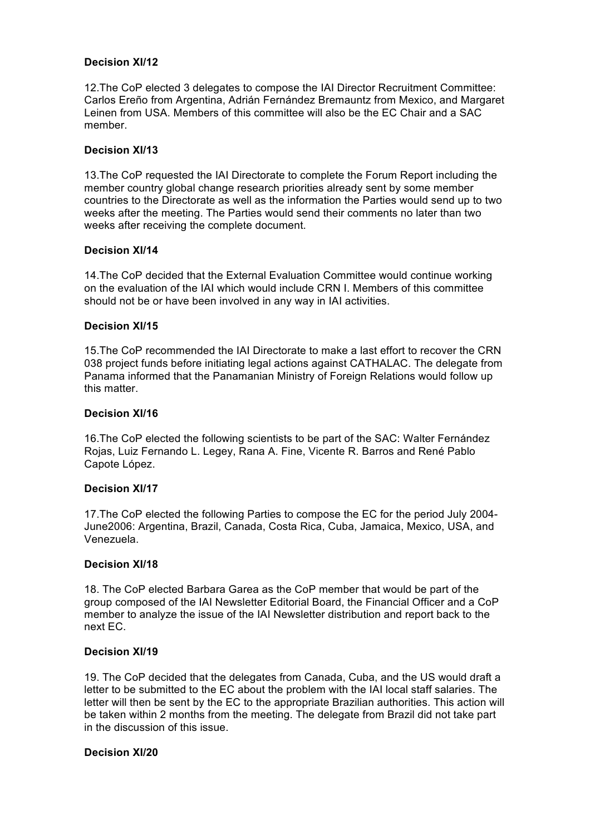### **Decision XI/12**

12.The CoP elected 3 delegates to compose the IAI Director Recruitment Committee: Carlos Ereño from Argentina, Adrián Fernández Bremauntz from Mexico, and Margaret Leinen from USA. Members of this committee will also be the EC Chair and a SAC member.

### **Decision XI/13**

13.The CoP requested the IAI Directorate to complete the Forum Report including the member country global change research priorities already sent by some member countries to the Directorate as well as the information the Parties would send up to two weeks after the meeting. The Parties would send their comments no later than two weeks after receiving the complete document.

### **Decision XI/14**

14.The CoP decided that the External Evaluation Committee would continue working on the evaluation of the IAI which would include CRN I. Members of this committee should not be or have been involved in any way in IAI activities.

### **Decision XI/15**

15.The CoP recommended the IAI Directorate to make a last effort to recover the CRN 038 project funds before initiating legal actions against CATHALAC. The delegate from Panama informed that the Panamanian Ministry of Foreign Relations would follow up this matter.

### **Decision XI/16**

16.The CoP elected the following scientists to be part of the SAC: Walter Fernández Rojas, Luiz Fernando L. Legey, Rana A. Fine, Vicente R. Barros and René Pablo Capote López.

#### **Decision XI/17**

17.The CoP elected the following Parties to compose the EC for the period July 2004- June2006: Argentina, Brazil, Canada, Costa Rica, Cuba, Jamaica, Mexico, USA, and Venezuela.

#### **Decision XI/18**

18. The CoP elected Barbara Garea as the CoP member that would be part of the group composed of the IAI Newsletter Editorial Board, the Financial Officer and a CoP member to analyze the issue of the IAI Newsletter distribution and report back to the next EC.

#### **Decision XI/19**

19. The CoP decided that the delegates from Canada, Cuba, and the US would draft a letter to be submitted to the EC about the problem with the IAI local staff salaries. The letter will then be sent by the EC to the appropriate Brazilian authorities. This action will be taken within 2 months from the meeting. The delegate from Brazil did not take part in the discussion of this issue.

#### **Decision XI/20**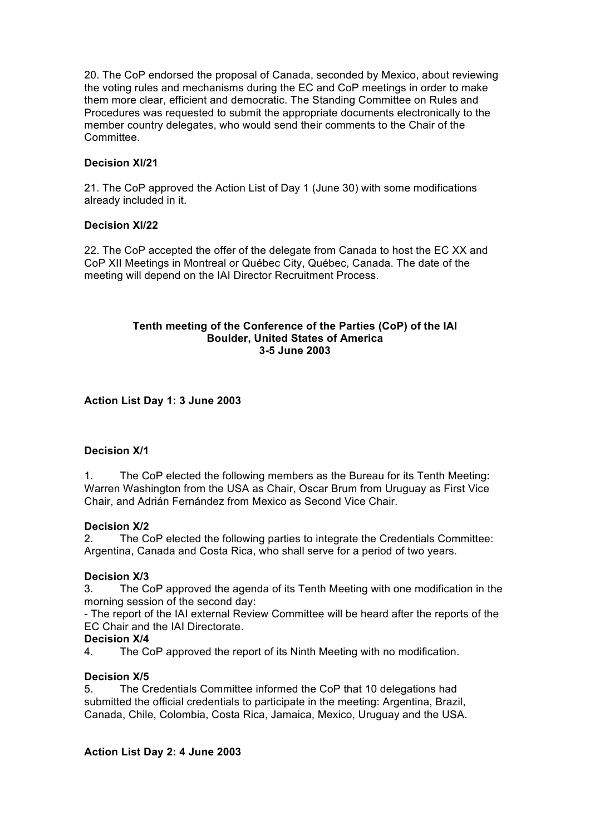20. The CoP endorsed the proposal of Canada, seconded by Mexico, about reviewing the voting rules and mechanisms during the EC and CoP meetings in order to make them more clear, efficient and democratic. The Standing Committee on Rules and Procedures was requested to submit the appropriate documents electronically to the member country delegates, who would send their comments to the Chair of the **Committee.** 

# **Decision XI/21**

21. The CoP approved the Action List of Day 1 (June 30) with some modifications already included in it.

## **Decision XI/22**

22. The CoP accepted the offer of the delegate from Canada to host the EC XX and CoP XII Meetings in Montreal or Québec City, Québec, Canada. The date of the meeting will depend on the IAI Director Recruitment Process.

### **Tenth meeting of the Conference of the Parties (CoP) of the IAI Boulder, United States of America 3-5 June 2003**

# **Action List Day 1: 3 June 2003**

## **Decision X/1**

1. The CoP elected the following members as the Bureau for its Tenth Meeting: Warren Washington from the USA as Chair, Oscar Brum from Uruguay as First Vice Chair, and Adrián Fernández from Mexico as Second Vice Chair.

## **Decision X/2**

2. The CoP elected the following parties to integrate the Credentials Committee: Argentina, Canada and Costa Rica, who shall serve for a period of two years.

## **Decision X/3**

3. The CoP approved the agenda of its Tenth Meeting with one modification in the morning session of the second day:

- The report of the IAI external Review Committee will be heard after the reports of the EC Chair and the IAI Directorate.

## **Decision X/4**

4. The CoP approved the report of its Ninth Meeting with no modification.

## **Decision X/5**

5. The Credentials Committee informed the CoP that 10 delegations had submitted the official credentials to participate in the meeting: Argentina, Brazil, Canada, Chile, Colombia, Costa Rica, Jamaica, Mexico, Uruguay and the USA.

## **Action List Day 2: 4 June 2003**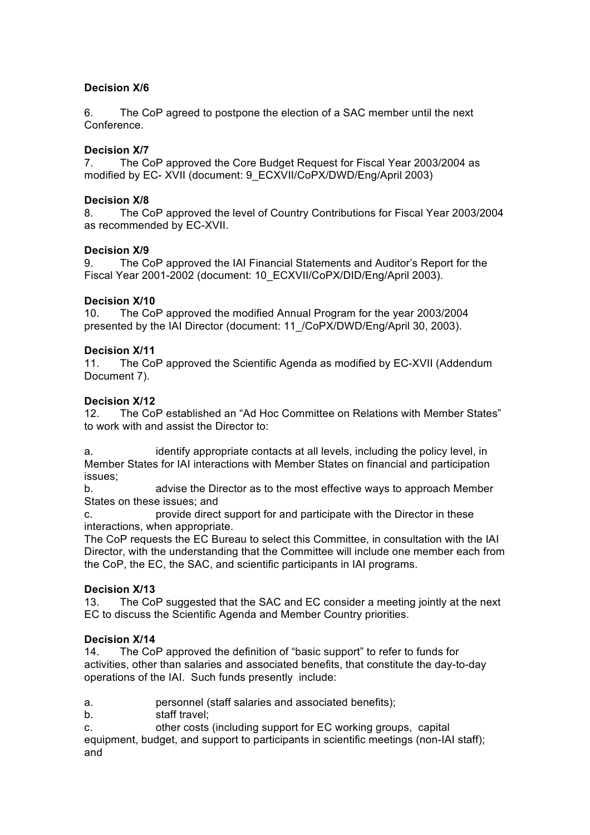# **Decision X/6**

6. The CoP agreed to postpone the election of a SAC member until the next Conference.

# **Decision X/7**

7. The CoP approved the Core Budget Request for Fiscal Year 2003/2004 as modified by EC- XVII (document: 9\_ECXVII/CoPX/DWD/Eng/April 2003)

## **Decision X/8**

8. The CoP approved the level of Country Contributions for Fiscal Year 2003/2004 as recommended by EC-XVII.

## **Decision X/9**

9. The CoP approved the IAI Financial Statements and Auditor's Report for the Fiscal Year 2001-2002 (document: 10\_ECXVII/CoPX/DID/Eng/April 2003).

### **Decision X/10**

10. The CoP approved the modified Annual Program for the year 2003/2004 presented by the IAI Director (document: 11\_/CoPX/DWD/Eng/April 30, 2003).

### **Decision X/11**

11. The CoP approved the Scientific Agenda as modified by EC-XVII (Addendum Document 7).

### **Decision X/12**

12. The CoP established an "Ad Hoc Committee on Relations with Member States" to work with and assist the Director to:

a. identify appropriate contacts at all levels, including the policy level, in Member States for IAI interactions with Member States on financial and participation issues;

b. advise the Director as to the most effective ways to approach Member States on these issues; and

c. provide direct support for and participate with the Director in these interactions, when appropriate.

The CoP requests the EC Bureau to select this Committee, in consultation with the IAI Director, with the understanding that the Committee will include one member each from the CoP, the EC, the SAC, and scientific participants in IAI programs.

## **Decision X/13**

13. The CoP suggested that the SAC and EC consider a meeting jointly at the next EC to discuss the Scientific Agenda and Member Country priorities.

## **Decision X/14**

14. The CoP approved the definition of "basic support" to refer to funds for activities, other than salaries and associated benefits, that constitute the day-to-day operations of the IAI. Such funds presently include:

a. personnel (staff salaries and associated benefits);

- b. staff travel;
- c. other costs (including support for EC working groups, capital

equipment, budget, and support to participants in scientific meetings (non-IAI staff); and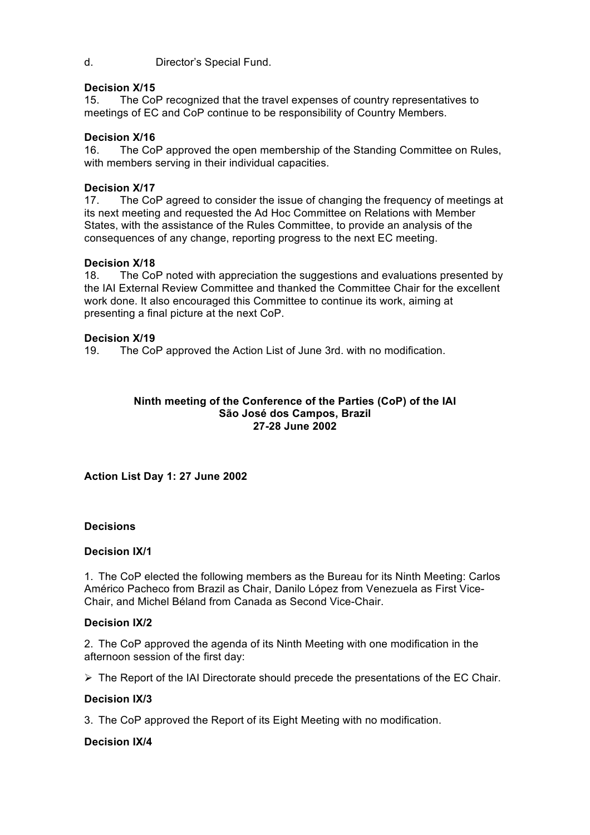d. Director's Special Fund.

### **Decision X/15**

15. The CoP recognized that the travel expenses of country representatives to meetings of EC and CoP continue to be responsibility of Country Members.

### **Decision X/16**

16. The CoP approved the open membership of the Standing Committee on Rules, with members serving in their individual capacities.

### **Decision X/17**

17. The CoP agreed to consider the issue of changing the frequency of meetings at its next meeting and requested the Ad Hoc Committee on Relations with Member States, with the assistance of the Rules Committee, to provide an analysis of the consequences of any change, reporting progress to the next EC meeting.

#### **Decision X/18**

18. The CoP noted with appreciation the suggestions and evaluations presented by the IAI External Review Committee and thanked the Committee Chair for the excellent work done. It also encouraged this Committee to continue its work, aiming at presenting a final picture at the next CoP.

#### **Decision X/19**

19. The CoP approved the Action List of June 3rd. with no modification.

### **Ninth meeting of the Conference of the Parties (CoP) of the IAI São José dos Campos, Brazil 27-28 June 2002**

## **Action List Day 1: 27 June 2002**

#### **Decisions**

#### **Decision IX/1**

1. The CoP elected the following members as the Bureau for its Ninth Meeting: Carlos Américo Pacheco from Brazil as Chair, Danilo López from Venezuela as First Vice-Chair, and Michel Béland from Canada as Second Vice-Chair.

#### **Decision IX/2**

2. The CoP approved the agenda of its Ninth Meeting with one modification in the afternoon session of the first day:

 $\triangleright$  The Report of the IAI Directorate should precede the presentations of the EC Chair.

## **Decision IX/3**

3. The CoP approved the Report of its Eight Meeting with no modification.

#### **Decision IX/4**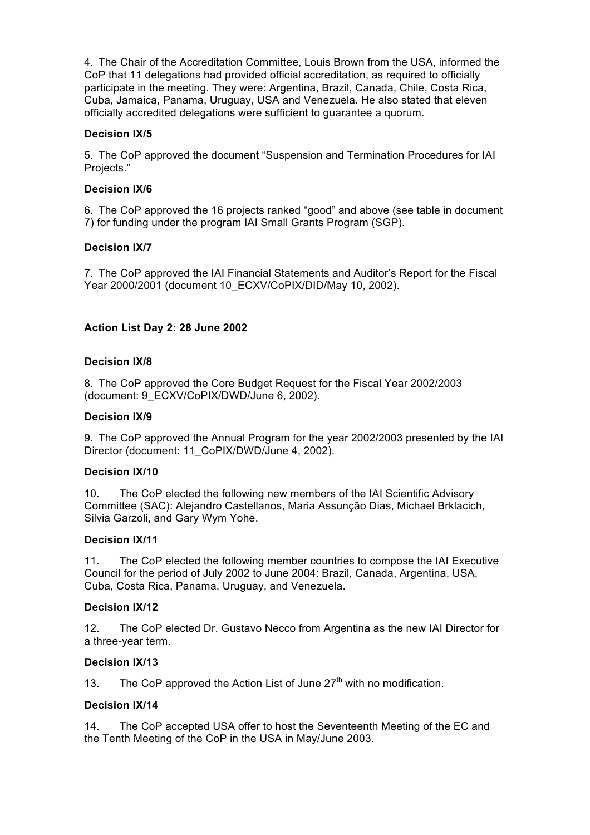4. The Chair of the Accreditation Committee, Louis Brown from the USA, informed the CoP that 11 delegations had provided official accreditation, as required to officially participate in the meeting. They were: Argentina, Brazil, Canada, Chile, Costa Rica, Cuba, Jamaica, Panama, Uruguay, USA and Venezuela. He also stated that eleven officially accredited delegations were sufficient to guarantee a quorum.

# **Decision IX/5**

5. The CoP approved the document "Suspension and Termination Procedures for IAI Projects."

# **Decision IX/6**

6. The CoP approved the 16 projects ranked "good" and above (see table in document 7) for funding under the program IAI Small Grants Program (SGP).

# **Decision IX/7**

7. The CoP approved the IAI Financial Statements and Auditor's Report for the Fiscal Year 2000/2001 (document 10\_ECXV/CoPIX/DID/May 10, 2002).

# **Action List Day 2: 28 June 2002**

## **Decision IX/8**

8. The CoP approved the Core Budget Request for the Fiscal Year 2002/2003 (document: 9\_ECXV/CoPIX/DWD/June 6, 2002).

### **Decision IX/9**

9. The CoP approved the Annual Program for the year 2002/2003 presented by the IAI Director (document: 11\_CoPIX/DWD/June 4, 2002).

## **Decision IX/10**

10. The CoP elected the following new members of the IAI Scientific Advisory Committee (SAC): Alejandro Castellanos, Maria Assunção Dias, Michael Brklacich, Silvia Garzoli, and Gary Wym Yohe.

## **Decision IX/11**

11. The CoP elected the following member countries to compose the IAI Executive Council for the period of July 2002 to June 2004: Brazil, Canada, Argentina, USA, Cuba, Costa Rica, Panama, Uruguay, and Venezuela.

#### **Decision IX/12**

12. The CoP elected Dr. Gustavo Necco from Argentina as the new IAI Director for a three-year term.

## **Decision IX/13**

13. The CoP approved the Action List of June  $27<sup>th</sup>$  with no modification.

## **Decision IX/14**

14. The CoP accepted USA offer to host the Seventeenth Meeting of the EC and the Tenth Meeting of the CoP in the USA in May/June 2003.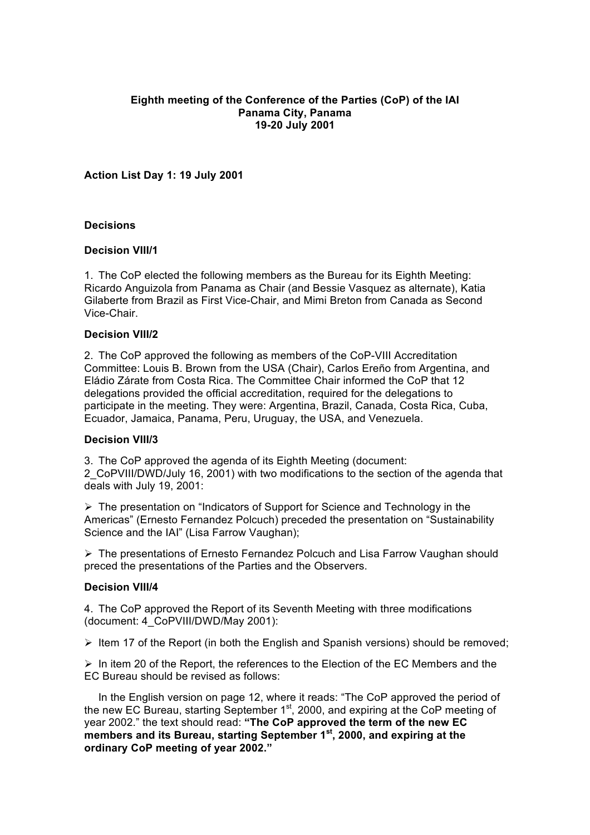### **Eighth meeting of the Conference of the Parties (CoP) of the IAI Panama City, Panama 19-20 July 2001**

**Action List Day 1: 19 July 2001**

### **Decisions**

### **Decision VIII/1**

1. The CoP elected the following members as the Bureau for its Eighth Meeting: Ricardo Anguizola from Panama as Chair (and Bessie Vasquez as alternate), Katia Gilaberte from Brazil as First Vice-Chair, and Mimi Breton from Canada as Second Vice-Chair.

#### **Decision VIII/2**

2. The CoP approved the following as members of the CoP-VIII Accreditation Committee: Louis B. Brown from the USA (Chair), Carlos Ereño from Argentina, and Eládio Zárate from Costa Rica. The Committee Chair informed the CoP that 12 delegations provided the official accreditation, required for the delegations to participate in the meeting. They were: Argentina, Brazil, Canada, Costa Rica, Cuba, Ecuador, Jamaica, Panama, Peru, Uruguay, the USA, and Venezuela.

#### **Decision VIII/3**

3. The CoP approved the agenda of its Eighth Meeting (document:

2\_CoPVIII/DWD/July 16, 2001) with two modifications to the section of the agenda that deals with July 19, 2001:

 $\triangleright$  The presentation on "Indicators of Support for Science and Technology in the Americas" (Ernesto Fernandez Polcuch) preceded the presentation on "Sustainability Science and the IAI" (Lisa Farrow Vaughan);

Ø The presentations of Ernesto Fernandez Polcuch and Lisa Farrow Vaughan should preced the presentations of the Parties and the Observers.

#### **Decision VIII/4**

4. The CoP approved the Report of its Seventh Meeting with three modifications (document: 4\_CoPVIII/DWD/May 2001):

 $\triangleright$  Item 17 of the Report (in both the English and Spanish versions) should be removed;

 $\triangleright$  In item 20 of the Report, the references to the Election of the EC Members and the EC Bureau should be revised as follows:

In the English version on page 12, where it reads: "The CoP approved the period of the new EC Bureau, starting September  $1<sup>st</sup>$ , 2000, and expiring at the CoP meeting of year 2002." the text should read: **"The CoP approved the term of the new EC members and its Bureau, starting September 1st, 2000, and expiring at the ordinary CoP meeting of year 2002."**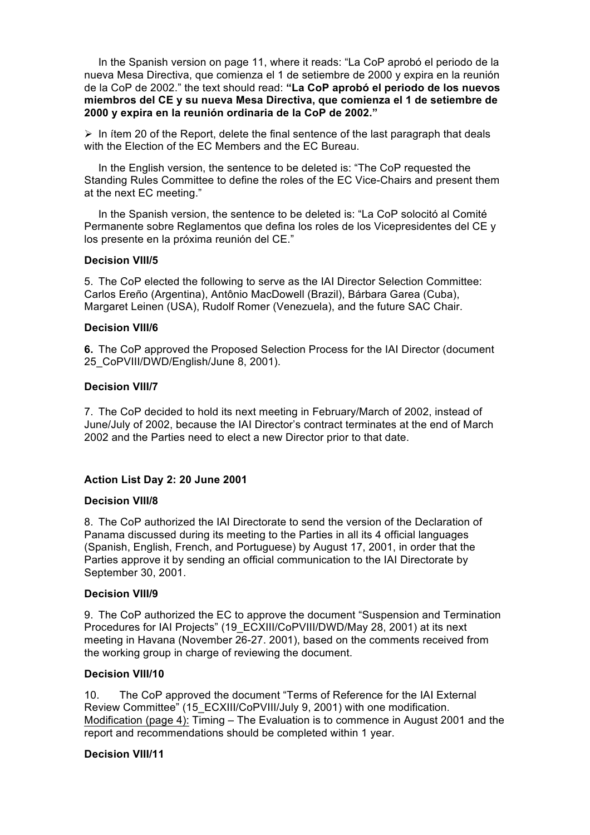In the Spanish version on page 11, where it reads: "La CoP aprobó el periodo de la nueva Mesa Directiva, que comienza el 1 de setiembre de 2000 y expira en la reunión de la CoP de 2002." the text should read: **"La CoP aprobó el periodo de los nuevos miembros del CE y su nueva Mesa Directiva, que comienza el 1 de setiembre de 2000 y expira en la reunión ordinaria de la CoP de 2002."**

 $\triangleright$  In item 20 of the Report, delete the final sentence of the last paragraph that deals with the Election of the EC Members and the EC Bureau.

In the English version, the sentence to be deleted is: "The CoP requested the Standing Rules Committee to define the roles of the EC Vice-Chairs and present them at the next EC meeting."

In the Spanish version, the sentence to be deleted is: "La CoP solocitó al Comité Permanente sobre Reglamentos que defina los roles de los Vicepresidentes del CE y los presente en la próxima reunión del CE."

#### **Decision VIII/5**

5. The CoP elected the following to serve as the IAI Director Selection Committee: Carlos Ereño (Argentina), Antônio MacDowell (Brazil), Bárbara Garea (Cuba), Margaret Leinen (USA), Rudolf Romer (Venezuela), and the future SAC Chair.

### **Decision VIII/6**

**6.** The CoP approved the Proposed Selection Process for the IAI Director (document 25\_CoPVIII/DWD/English/June 8, 2001).

### **Decision VIII/7**

7. The CoP decided to hold its next meeting in February/March of 2002, instead of June/July of 2002, because the IAI Director's contract terminates at the end of March 2002 and the Parties need to elect a new Director prior to that date.

## **Action List Day 2: 20 June 2001**

#### **Decision VIII/8**

8. The CoP authorized the IAI Directorate to send the version of the Declaration of Panama discussed during its meeting to the Parties in all its 4 official languages (Spanish, English, French, and Portuguese) by August 17, 2001, in order that the Parties approve it by sending an official communication to the IAI Directorate by September 30, 2001.

#### **Decision VIII/9**

9. The CoP authorized the EC to approve the document "Suspension and Termination Procedures for IAI Projects" (19\_ECXIII/CoPVIII/DWD/May 28, 2001) at its next meeting in Havana (November 26-27. 2001), based on the comments received from the working group in charge of reviewing the document.

#### **Decision VIII/10**

10. The CoP approved the document "Terms of Reference for the IAI External Review Committee" (15\_ECXIII/CoPVIII/July 9, 2001) with one modification. Modification (page 4): Timing – The Evaluation is to commence in August 2001 and the report and recommendations should be completed within 1 year.

## **Decision VIII/11**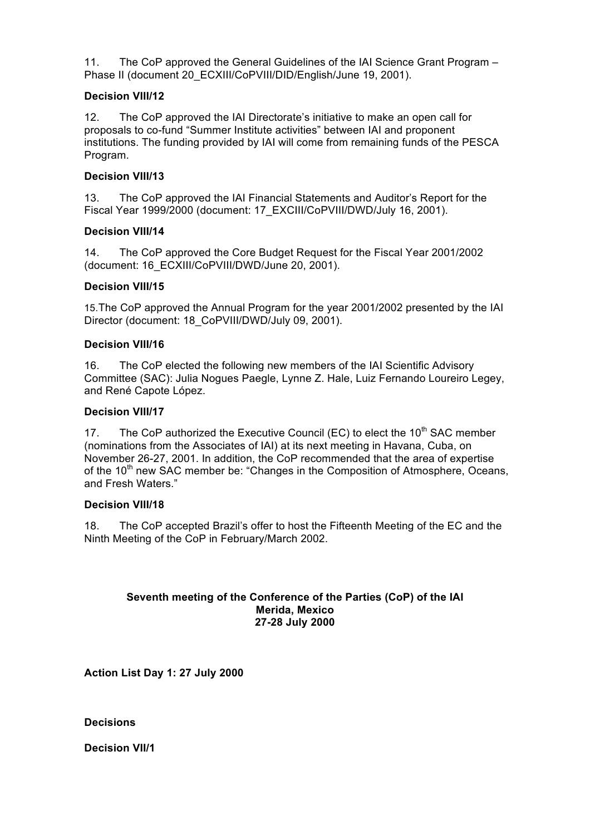11. The CoP approved the General Guidelines of the IAI Science Grant Program – Phase II (document 20 ECXIII/CoPVIII/DID/English/June 19, 2001).

# **Decision VIII/12**

12. The CoP approved the IAI Directorate's initiative to make an open call for proposals to co-fund "Summer Institute activities" between IAI and proponent institutions. The funding provided by IAI will come from remaining funds of the PESCA Program.

# **Decision VIII/13**

13. The CoP approved the IAI Financial Statements and Auditor's Report for the Fiscal Year 1999/2000 (document: 17\_EXCIII/CoPVIII/DWD/July 16, 2001).

# **Decision VIII/14**

14. The CoP approved the Core Budget Request for the Fiscal Year 2001/2002 (document: 16\_ECXIII/CoPVIII/DWD/June 20, 2001).

## **Decision VIII/15**

15.The CoP approved the Annual Program for the year 2001/2002 presented by the IAI Director (document: 18\_CoPVIII/DWD/July 09, 2001).

## **Decision VIII/16**

16. The CoP elected the following new members of the IAI Scientific Advisory Committee (SAC): Julia Nogues Paegle, Lynne Z. Hale, Luiz Fernando Loureiro Legey, and René Capote López.

# **Decision VIII/17**

17. The CoP authorized the Executive Council (EC) to elect the  $10<sup>th</sup>$  SAC member (nominations from the Associates of IAI) at its next meeting in Havana, Cuba, on November 26-27, 2001. In addition, the CoP recommended that the area of expertise of the  $10<sup>th</sup>$  new SAC member be: "Changes in the Composition of Atmosphere, Oceans, and Fresh Waters."

## **Decision VIII/18**

18. The CoP accepted Brazil's offer to host the Fifteenth Meeting of the EC and the Ninth Meeting of the CoP in February/March 2002.

### **Seventh meeting of the Conference of the Parties (CoP) of the IAI Merida, Mexico 27-28 July 2000**

**Action List Day 1: 27 July 2000**

**Decisions** 

**Decision VII/1**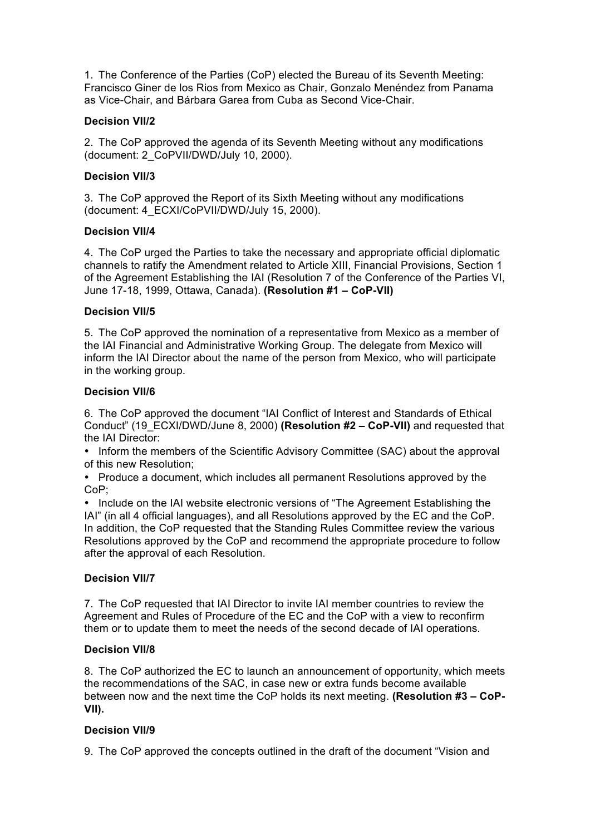1. The Conference of the Parties (CoP) elected the Bureau of its Seventh Meeting: Francisco Giner de los Rios from Mexico as Chair, Gonzalo Menéndez from Panama as Vice-Chair, and Bárbara Garea from Cuba as Second Vice-Chair.

## **Decision VII/2**

2. The CoP approved the agenda of its Seventh Meeting without any modifications (document: 2\_CoPVII/DWD/July 10, 2000).

# **Decision VII/3**

3. The CoP approved the Report of its Sixth Meeting without any modifications (document: 4\_ECXI/CoPVII/DWD/July 15, 2000).

# **Decision VII/4**

4. The CoP urged the Parties to take the necessary and appropriate official diplomatic channels to ratify the Amendment related to Article XIII, Financial Provisions, Section 1 of the Agreement Establishing the IAI (Resolution 7 of the Conference of the Parties VI, June 17-18, 1999, Ottawa, Canada). **(Resolution #1 – CoP-VII)**

# **Decision VII/5**

5. The CoP approved the nomination of a representative from Mexico as a member of the IAI Financial and Administrative Working Group. The delegate from Mexico will inform the IAI Director about the name of the person from Mexico, who will participate in the working group.

## **Decision VII/6**

6. The CoP approved the document "IAI Conflict of Interest and Standards of Ethical Conduct" (19\_ECXI/DWD/June 8, 2000) **(Resolution #2 – CoP-VII)** and requested that the IAI Director:

• Inform the members of the Scientific Advisory Committee (SAC) about the approval of this new Resolution;

• Produce a document, which includes all permanent Resolutions approved by the CoP;

• Include on the IAI website electronic versions of "The Agreement Establishing the IAI" (in all 4 official languages), and all Resolutions approved by the EC and the CoP. In addition, the CoP requested that the Standing Rules Committee review the various Resolutions approved by the CoP and recommend the appropriate procedure to follow after the approval of each Resolution.

# **Decision VII/7**

7. The CoP requested that IAI Director to invite IAI member countries to review the Agreement and Rules of Procedure of the EC and the CoP with a view to reconfirm them or to update them to meet the needs of the second decade of IAI operations.

## **Decision VII/8**

8. The CoP authorized the EC to launch an announcement of opportunity, which meets the recommendations of the SAC, in case new or extra funds become available between now and the next time the CoP holds its next meeting. **(Resolution #3 – CoP-VII).** 

## **Decision VII/9**

9. The CoP approved the concepts outlined in the draft of the document "Vision and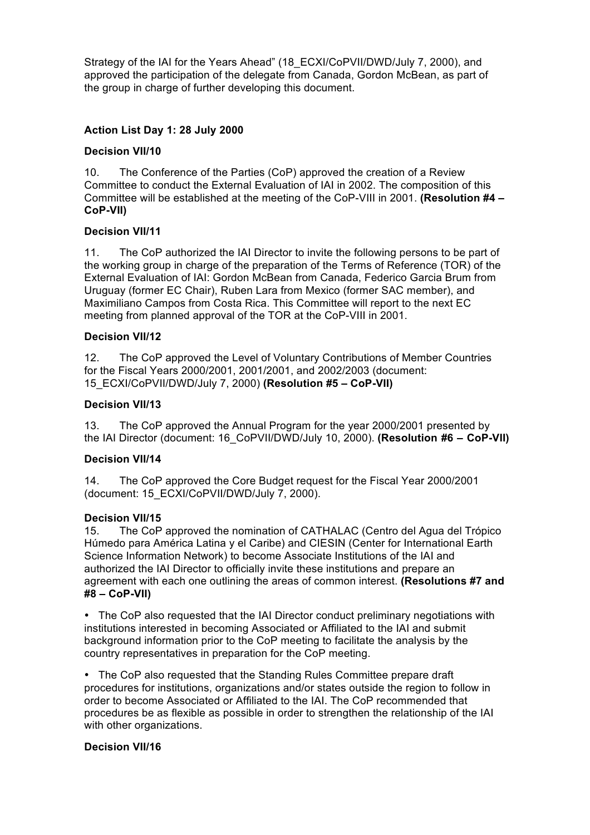Strategy of the IAI for the Years Ahead" (18\_ECXI/CoPVII/DWD/July 7, 2000), and approved the participation of the delegate from Canada, Gordon McBean, as part of the group in charge of further developing this document.

# **Action List Day 1: 28 July 2000**

# **Decision VII/10**

10. The Conference of the Parties (CoP) approved the creation of a Review Committee to conduct the External Evaluation of IAI in 2002. The composition of this Committee will be established at the meeting of the CoP-VIII in 2001. **(Resolution #4 – CoP-VII)**

# **Decision VII/11**

11. The CoP authorized the IAI Director to invite the following persons to be part of the working group in charge of the preparation of the Terms of Reference (TOR) of the External Evaluation of IAI: Gordon McBean from Canada, Federico Garcia Brum from Uruguay (former EC Chair), Ruben Lara from Mexico (former SAC member), and Maximiliano Campos from Costa Rica. This Committee will report to the next EC meeting from planned approval of the TOR at the CoP-VIII in 2001.

## **Decision VII/12**

12. The CoP approved the Level of Voluntary Contributions of Member Countries for the Fiscal Years 2000/2001, 2001/2001, and 2002/2003 (document: 15\_ECXI/CoPVII/DWD/July 7, 2000) **(Resolution #5 – CoP-VII)**

## **Decision VII/13**

13. The CoP approved the Annual Program for the year 2000/2001 presented by the IAI Director (document: 16\_CoPVII/DWD/July 10, 2000). **(Resolution #6 – CoP-VII)**

## **Decision VII/14**

14. The CoP approved the Core Budget request for the Fiscal Year 2000/2001 (document: 15\_ECXI/CoPVII/DWD/July 7, 2000).

## **Decision VII/15**

15. The CoP approved the nomination of CATHALAC (Centro del Agua del Trópico Húmedo para América Latina y el Caribe) and CIESIN (Center for International Earth Science Information Network) to become Associate Institutions of the IAI and authorized the IAI Director to officially invite these institutions and prepare an agreement with each one outlining the areas of common interest. **(Resolutions #7 and #8 – CoP-VII)**

• The CoP also requested that the IAI Director conduct preliminary negotiations with institutions interested in becoming Associated or Affiliated to the IAI and submit background information prior to the CoP meeting to facilitate the analysis by the country representatives in preparation for the CoP meeting.

• The CoP also requested that the Standing Rules Committee prepare draft procedures for institutions, organizations and/or states outside the region to follow in order to become Associated or Affiliated to the IAI. The CoP recommended that procedures be as flexible as possible in order to strengthen the relationship of the IAI with other organizations.

## **Decision VII/16**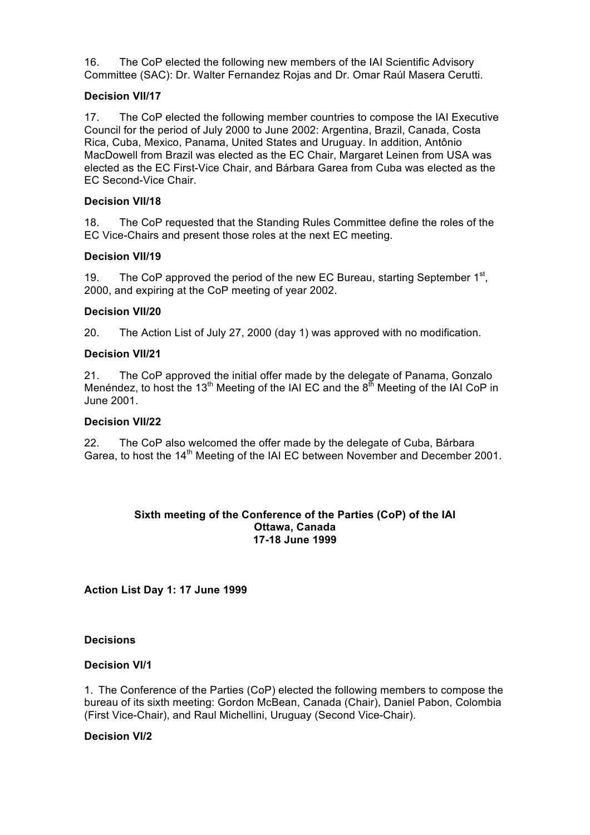16. The CoP elected the following new members of the IAI Scientific Advisory Committee (SAC): Dr. Walter Fernandez Rojas and Dr. Omar Raúl Masera Cerutti.

# **Decision VII/17**

17. The CoP elected the following member countries to compose the IAI Executive Council for the period of July 2000 to June 2002: Argentina, Brazil, Canada, Costa Rica, Cuba, Mexico, Panama, United States and Uruguay. In addition, Antônio MacDowell from Brazil was elected as the EC Chair, Margaret Leinen from USA was elected as the EC First-Vice Chair, and Bárbara Garea from Cuba was elected as the EC Second-Vice Chair.

# **Decision VII/18**

18. The CoP requested that the Standing Rules Committee define the roles of the EC Vice-Chairs and present those roles at the next EC meeting.

## **Decision VII/19**

19. The CoP approved the period of the new EC Bureau, starting September  $1<sup>st</sup>$ , 2000, and expiring at the CoP meeting of year 2002.

## **Decision VII/20**

20. The Action List of July 27, 2000 (day 1) was approved with no modification.

# **Decision VII/21**

21. The CoP approved the initial offer made by the delegate of Panama, Gonzalo Menéndez, to host the 13<sup>th</sup> Meeting of the IAI EC and the  $8<sup>th</sup>$  Meeting of the IAI CoP in June 2001.

# **Decision VII/22**

22. The CoP also welcomed the offer made by the delegate of Cuba, Bárbara Garea, to host the 14<sup>th</sup> Meeting of the IAI EC between November and December 2001.

### **Sixth meeting of the Conference of the Parties (CoP) of the IAI Ottawa, Canada 17-18 June 1999**

**Action List Day 1: 17 June 1999**

## **Decisions**

## **Decision VI/1**

1. The Conference of the Parties (CoP) elected the following members to compose the bureau of its sixth meeting: Gordon McBean, Canada (Chair), Daniel Pabon, Colombia (First Vice-Chair), and Raul Michellini, Uruguay (Second Vice-Chair).

# **Decision VI/2**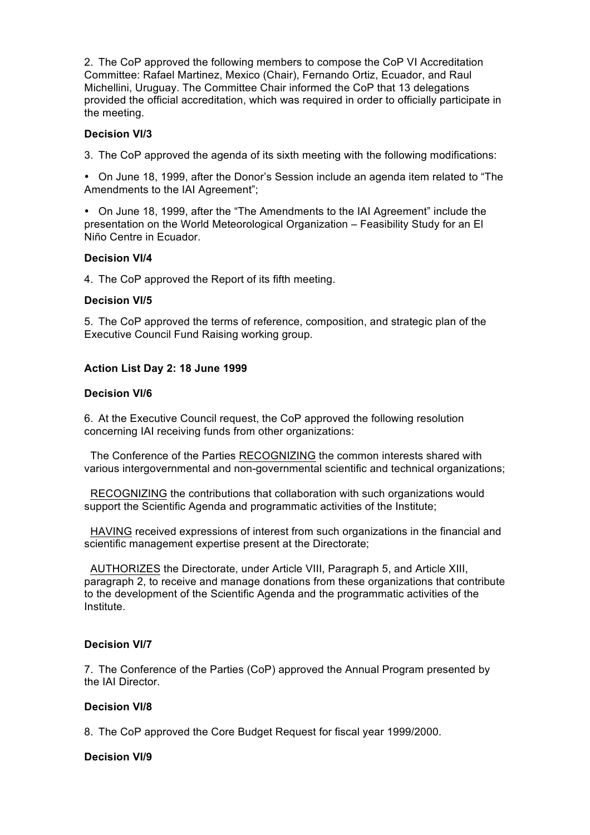2. The CoP approved the following members to compose the CoP VI Accreditation Committee: Rafael Martinez, Mexico (Chair), Fernando Ortiz, Ecuador, and Raul Michellini, Uruguay. The Committee Chair informed the CoP that 13 delegations provided the official accreditation, which was required in order to officially participate in the meeting.

## **Decision VI/3**

3. The CoP approved the agenda of its sixth meeting with the following modifications:

• On June 18, 1999, after the Donor's Session include an agenda item related to "The Amendments to the IAI Agreement";

• On June 18, 1999, after the "The Amendments to the IAI Agreement" include the presentation on the World Meteorological Organization – Feasibility Study for an El Niño Centre in Ecuador.

# **Decision VI/4**

4. The CoP approved the Report of its fifth meeting.

#### **Decision VI/5**

5. The CoP approved the terms of reference, composition, and strategic plan of the Executive Council Fund Raising working group.

### **Action List Day 2: 18 June 1999**

#### **Decision VI/6**

6. At the Executive Council request, the CoP approved the following resolution concerning IAI receiving funds from other organizations:

 The Conference of the Parties RECOGNIZING the common interests shared with various intergovernmental and non-governmental scientific and technical organizations;

 RECOGNIZING the contributions that collaboration with such organizations would support the Scientific Agenda and programmatic activities of the Institute;

 HAVING received expressions of interest from such organizations in the financial and scientific management expertise present at the Directorate;

 AUTHORIZES the Directorate, under Article VIII, Paragraph 5, and Article XIII, paragraph 2, to receive and manage donations from these organizations that contribute to the development of the Scientific Agenda and the programmatic activities of the Institute.

#### **Decision VI/7**

7. The Conference of the Parties (CoP) approved the Annual Program presented by the IAI Director.

## **Decision VI/8**

8. The CoP approved the Core Budget Request for fiscal year 1999/2000.

#### **Decision VI/9**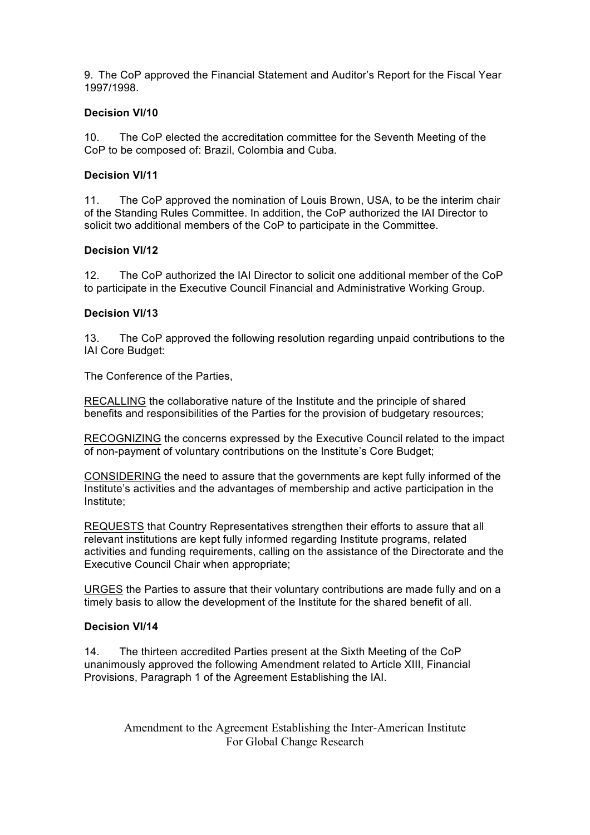9. The CoP approved the Financial Statement and Auditor's Report for the Fiscal Year 1997/1998.

### **Decision VI/10**

10. The CoP elected the accreditation committee for the Seventh Meeting of the CoP to be composed of: Brazil, Colombia and Cuba.

### **Decision VI/11**

11. The CoP approved the nomination of Louis Brown, USA, to be the interim chair of the Standing Rules Committee. In addition, the CoP authorized the IAI Director to solicit two additional members of the CoP to participate in the Committee.

### **Decision VI/12**

12. The CoP authorized the IAI Director to solicit one additional member of the CoP to participate in the Executive Council Financial and Administrative Working Group.

### **Decision VI/13**

13. The CoP approved the following resolution regarding unpaid contributions to the IAI Core Budget:

The Conference of the Parties,

RECALLING the collaborative nature of the Institute and the principle of shared benefits and responsibilities of the Parties for the provision of budgetary resources;

RECOGNIZING the concerns expressed by the Executive Council related to the impact of non-payment of voluntary contributions on the Institute's Core Budget;

CONSIDERING the need to assure that the governments are kept fully informed of the Institute's activities and the advantages of membership and active participation in the Institute;

REQUESTS that Country Representatives strengthen their efforts to assure that all relevant institutions are kept fully informed regarding Institute programs, related activities and funding requirements, calling on the assistance of the Directorate and the Executive Council Chair when appropriate;

URGES the Parties to assure that their voluntary contributions are made fully and on a timely basis to allow the development of the Institute for the shared benefit of all.

## **Decision VI/14**

14. The thirteen accredited Parties present at the Sixth Meeting of the CoP unanimously approved the following Amendment related to Article XIII, Financial Provisions, Paragraph 1 of the Agreement Establishing the IAI.

> Amendment to the Agreement Establishing the Inter-American Institute For Global Change Research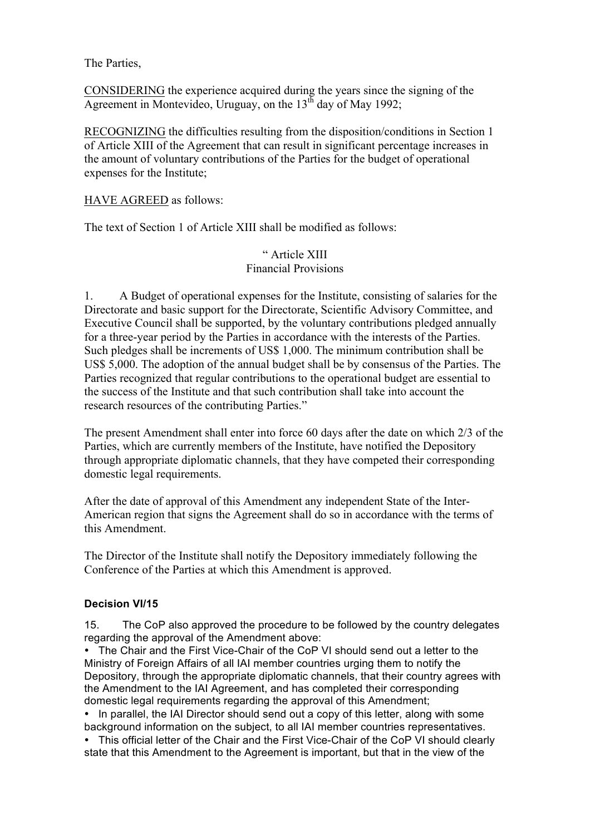The Parties,

CONSIDERING the experience acquired during the years since the signing of the Agreement in Montevideo, Uruguay, on the  $13<sup>th</sup>$  day of May 1992;

RECOGNIZING the difficulties resulting from the disposition/conditions in Section 1 of Article XIII of the Agreement that can result in significant percentage increases in the amount of voluntary contributions of the Parties for the budget of operational expenses for the Institute;

HAVE AGREED as follows:

The text of Section 1 of Article XIII shall be modified as follows:

# " Article XIII Financial Provisions

1. A Budget of operational expenses for the Institute, consisting of salaries for the Directorate and basic support for the Directorate, Scientific Advisory Committee, and Executive Council shall be supported, by the voluntary contributions pledged annually for a three-year period by the Parties in accordance with the interests of the Parties. Such pledges shall be increments of US\$ 1,000. The minimum contribution shall be US\$ 5,000. The adoption of the annual budget shall be by consensus of the Parties. The Parties recognized that regular contributions to the operational budget are essential to the success of the Institute and that such contribution shall take into account the research resources of the contributing Parties."

The present Amendment shall enter into force 60 days after the date on which 2/3 of the Parties, which are currently members of the Institute, have notified the Depository through appropriate diplomatic channels, that they have competed their corresponding domestic legal requirements.

After the date of approval of this Amendment any independent State of the Inter-American region that signs the Agreement shall do so in accordance with the terms of this Amendment.

The Director of the Institute shall notify the Depository immediately following the Conference of the Parties at which this Amendment is approved.

# **Decision VI/15**

15. The CoP also approved the procedure to be followed by the country delegates regarding the approval of the Amendment above:

• The Chair and the First Vice-Chair of the CoP VI should send out a letter to the Ministry of Foreign Affairs of all IAI member countries urging them to notify the Depository, through the appropriate diplomatic channels, that their country agrees with the Amendment to the IAI Agreement, and has completed their corresponding domestic legal requirements regarding the approval of this Amendment;

• In parallel, the IAI Director should send out a copy of this letter, along with some background information on the subject, to all IAI member countries representatives.

• This official letter of the Chair and the First Vice-Chair of the CoP VI should clearly state that this Amendment to the Agreement is important, but that in the view of the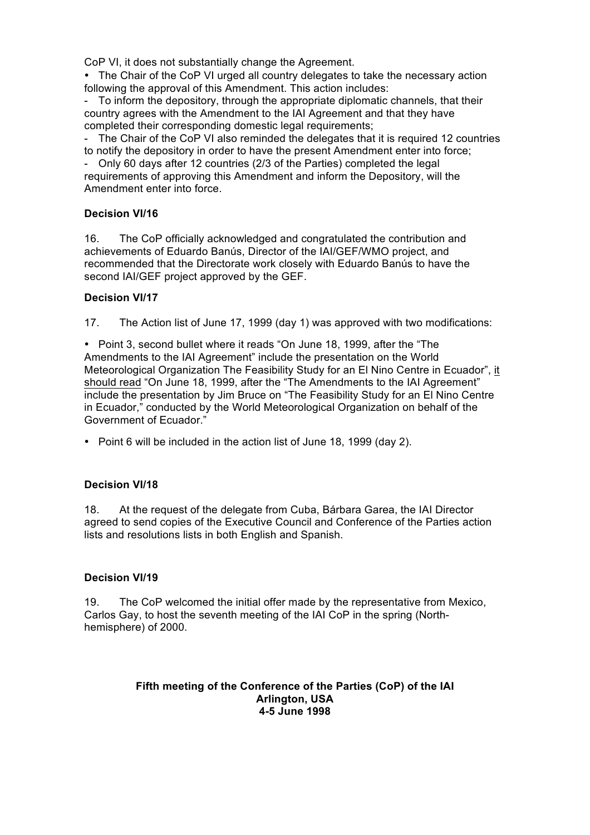CoP VI, it does not substantially change the Agreement.

• The Chair of the CoP VI urged all country delegates to take the necessary action following the approval of this Amendment. This action includes:

- To inform the depository, through the appropriate diplomatic channels, that their country agrees with the Amendment to the IAI Agreement and that they have completed their corresponding domestic legal requirements;

- The Chair of the CoP VI also reminded the delegates that it is required 12 countries to notify the depository in order to have the present Amendment enter into force;

- Only 60 days after 12 countries (2/3 of the Parties) completed the legal requirements of approving this Amendment and inform the Depository, will the Amendment enter into force.

## **Decision VI/16**

16. The CoP officially acknowledged and congratulated the contribution and achievements of Eduardo Banús, Director of the IAI/GEF/WMO project, and recommended that the Directorate work closely with Eduardo Banús to have the second IAI/GEF project approved by the GEF.

### **Decision VI/17**

17. The Action list of June 17, 1999 (day 1) was approved with two modifications:

• Point 3, second bullet where it reads "On June 18, 1999, after the "The Amendments to the IAI Agreement" include the presentation on the World Meteorological Organization The Feasibility Study for an El Nino Centre in Ecuador", it should read "On June 18, 1999, after the "The Amendments to the IAI Agreement" include the presentation by Jim Bruce on "The Feasibility Study for an El Nino Centre in Ecuador," conducted by the World Meteorological Organization on behalf of the Government of Ecuador."

• Point 6 will be included in the action list of June 18, 1999 (day 2).

## **Decision VI/18**

18. At the request of the delegate from Cuba, Bárbara Garea, the IAI Director agreed to send copies of the Executive Council and Conference of the Parties action lists and resolutions lists in both English and Spanish.

## **Decision VI/19**

19. The CoP welcomed the initial offer made by the representative from Mexico, Carlos Gay, to host the seventh meeting of the IAI CoP in the spring (Northhemisphere) of 2000.

### **Fifth meeting of the Conference of the Parties (CoP) of the IAI Arlington, USA 4-5 June 1998**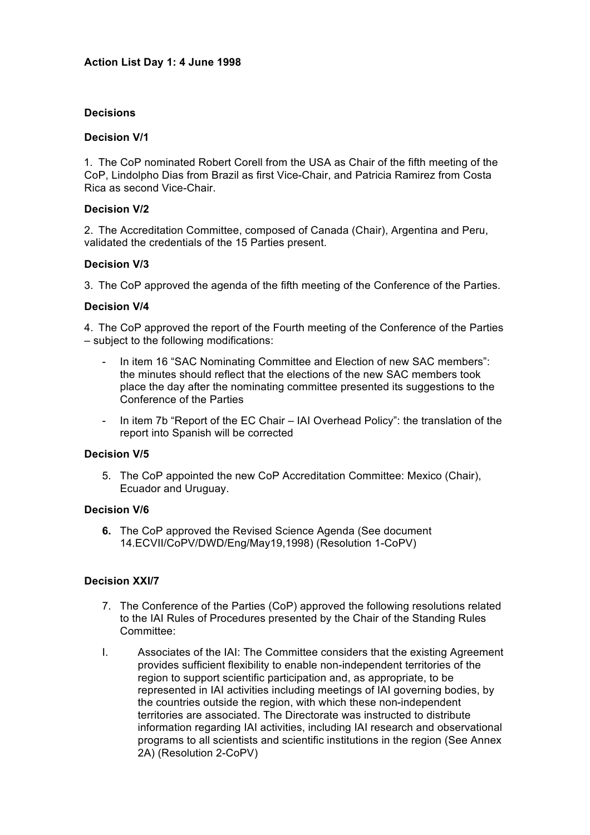### **Decisions**

### **Decision V/1**

1. The CoP nominated Robert Corell from the USA as Chair of the fifth meeting of the CoP, Lindolpho Dias from Brazil as first Vice-Chair, and Patricia Ramirez from Costa Rica as second Vice-Chair.

### **Decision V/2**

2. The Accreditation Committee, composed of Canada (Chair), Argentina and Peru, validated the credentials of the 15 Parties present.

### **Decision V/3**

3. The CoP approved the agenda of the fifth meeting of the Conference of the Parties.

### **Decision V/4**

4. The CoP approved the report of the Fourth meeting of the Conference of the Parties – subject to the following modifications:

- In item 16 "SAC Nominating Committee and Election of new SAC members": the minutes should reflect that the elections of the new SAC members took place the day after the nominating committee presented its suggestions to the Conference of the Parties
- In item 7b "Report of the EC Chair IAI Overhead Policy": the translation of the report into Spanish will be corrected

#### **Decision V/5**

5. The CoP appointed the new CoP Accreditation Committee: Mexico (Chair), Ecuador and Uruguay.

### **Decision V/6**

**6.** The CoP approved the Revised Science Agenda (See document 14.ECVII/CoPV/DWD/Eng/May19,1998) (Resolution 1-CoPV)

## **Decision XXI/7**

- 7. The Conference of the Parties (CoP) approved the following resolutions related to the IAI Rules of Procedures presented by the Chair of the Standing Rules Committee:
- I. Associates of the IAI: The Committee considers that the existing Agreement provides sufficient flexibility to enable non-independent territories of the region to support scientific participation and, as appropriate, to be represented in IAI activities including meetings of IAI governing bodies, by the countries outside the region, with which these non-independent territories are associated. The Directorate was instructed to distribute information regarding IAI activities, including IAI research and observational programs to all scientists and scientific institutions in the region (See Annex 2A) (Resolution 2-CoPV)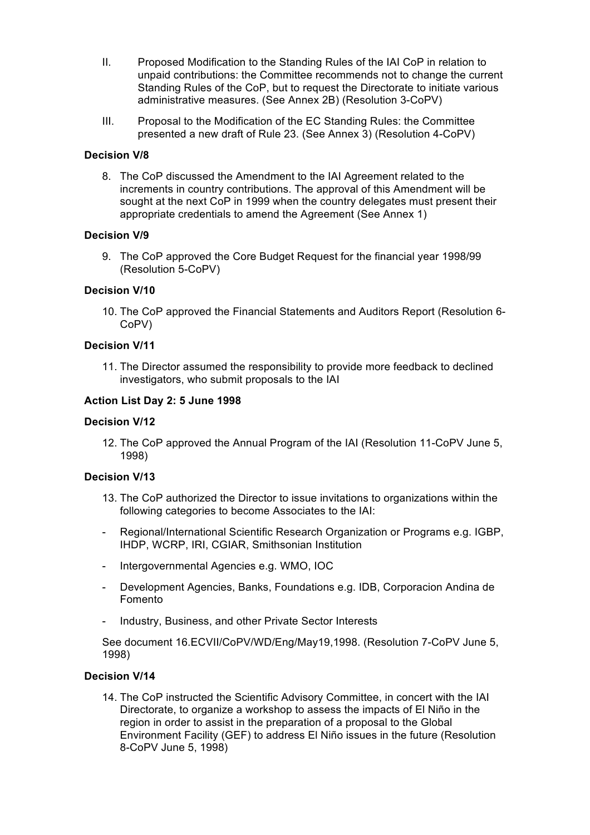- II. Proposed Modification to the Standing Rules of the IAI CoP in relation to unpaid contributions: the Committee recommends not to change the current Standing Rules of the CoP, but to request the Directorate to initiate various administrative measures. (See Annex 2B) (Resolution 3-CoPV)
- III. Proposal to the Modification of the EC Standing Rules: the Committee presented a new draft of Rule 23. (See Annex 3) (Resolution 4-CoPV)

### **Decision V/8**

8. The CoP discussed the Amendment to the IAI Agreement related to the increments in country contributions. The approval of this Amendment will be sought at the next CoP in 1999 when the country delegates must present their appropriate credentials to amend the Agreement (See Annex 1)

### **Decision V/9**

9. The CoP approved the Core Budget Request for the financial year 1998/99 (Resolution 5-CoPV)

## **Decision V/10**

10. The CoP approved the Financial Statements and Auditors Report (Resolution 6- CoPV)

## **Decision V/11**

11. The Director assumed the responsibility to provide more feedback to declined investigators, who submit proposals to the IAI

### **Action List Day 2: 5 June 1998**

#### **Decision V/12**

12. The CoP approved the Annual Program of the IAI (Resolution 11-CoPV June 5, 1998)

### **Decision V/13**

- 13. The CoP authorized the Director to issue invitations to organizations within the following categories to become Associates to the IAI:
- Regional/International Scientific Research Organization or Programs e.g. IGBP, IHDP, WCRP, IRI, CGIAR, Smithsonian Institution
- Intergovernmental Agencies e.g. WMO, IOC
- Development Agencies, Banks, Foundations e.g. IDB, Corporacion Andina de Fomento
- Industry, Business, and other Private Sector Interests

See document 16.ECVII/CoPV/WD/Eng/May19,1998. (Resolution 7-CoPV June 5, 1998)

#### **Decision V/14**

14. The CoP instructed the Scientific Advisory Committee, in concert with the IAI Directorate, to organize a workshop to assess the impacts of El Niño in the region in order to assist in the preparation of a proposal to the Global Environment Facility (GEF) to address El Niño issues in the future (Resolution 8-CoPV June 5, 1998)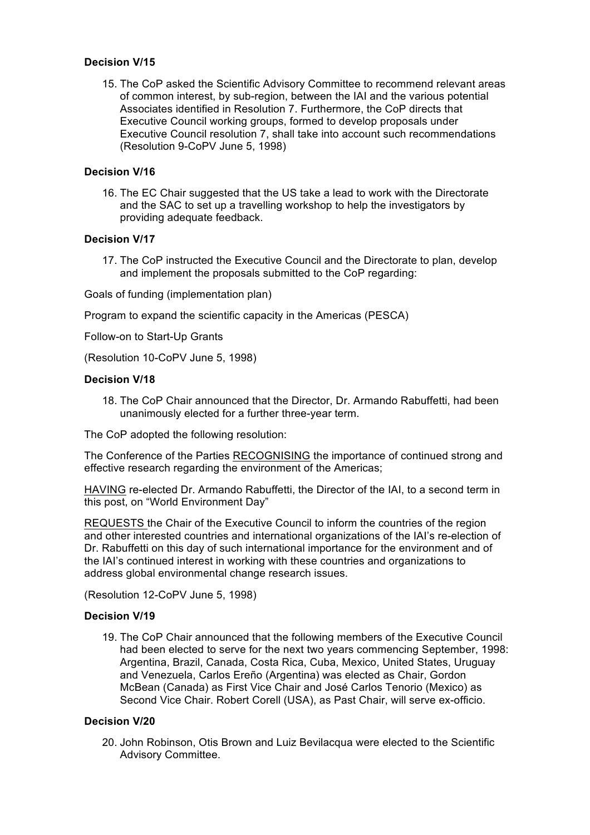### **Decision V/15**

15. The CoP asked the Scientific Advisory Committee to recommend relevant areas of common interest, by sub-region, between the IAI and the various potential Associates identified in Resolution 7. Furthermore, the CoP directs that Executive Council working groups, formed to develop proposals under Executive Council resolution 7, shall take into account such recommendations (Resolution 9-CoPV June 5, 1998)

# **Decision V/16**

16. The EC Chair suggested that the US take a lead to work with the Directorate and the SAC to set up a travelling workshop to help the investigators by providing adequate feedback.

### **Decision V/17**

17. The CoP instructed the Executive Council and the Directorate to plan, develop and implement the proposals submitted to the CoP regarding:

Goals of funding (implementation plan)

Program to expand the scientific capacity in the Americas (PESCA)

Follow-on to Start-Up Grants

(Resolution 10-CoPV June 5, 1998)

### **Decision V/18**

18. The CoP Chair announced that the Director, Dr. Armando Rabuffetti, had been unanimously elected for a further three-year term.

The CoP adopted the following resolution:

The Conference of the Parties RECOGNISING the importance of continued strong and effective research regarding the environment of the Americas;

HAVING re-elected Dr. Armando Rabuffetti, the Director of the IAI, to a second term in this post, on "World Environment Day"

REQUESTS the Chair of the Executive Council to inform the countries of the region and other interested countries and international organizations of the IAI's re-election of Dr. Rabuffetti on this day of such international importance for the environment and of the IAI's continued interest in working with these countries and organizations to address global environmental change research issues.

(Resolution 12-CoPV June 5, 1998)

## **Decision V/19**

19. The CoP Chair announced that the following members of the Executive Council had been elected to serve for the next two years commencing September, 1998: Argentina, Brazil, Canada, Costa Rica, Cuba, Mexico, United States, Uruguay and Venezuela, Carlos Ereño (Argentina) was elected as Chair, Gordon McBean (Canada) as First Vice Chair and José Carlos Tenorio (Mexico) as Second Vice Chair. Robert Corell (USA), as Past Chair, will serve ex-officio.

# **Decision V/20**

20. John Robinson, Otis Brown and Luiz Bevilacqua were elected to the Scientific Advisory Committee.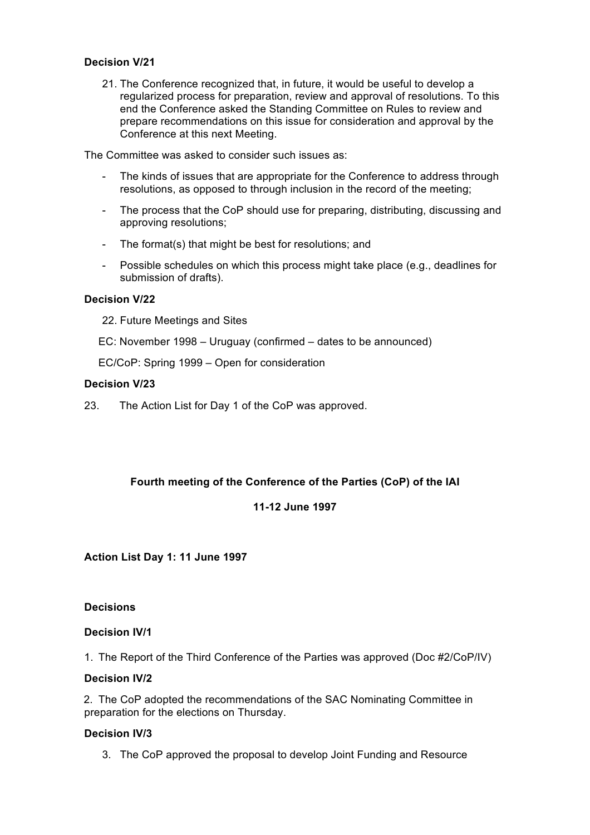### **Decision V/21**

21. The Conference recognized that, in future, it would be useful to develop a regularized process for preparation, review and approval of resolutions. To this end the Conference asked the Standing Committee on Rules to review and prepare recommendations on this issue for consideration and approval by the Conference at this next Meeting.

The Committee was asked to consider such issues as:

- The kinds of issues that are appropriate for the Conference to address through resolutions, as opposed to through inclusion in the record of the meeting;
- The process that the CoP should use for preparing, distributing, discussing and approving resolutions;
- The format(s) that might be best for resolutions; and
- Possible schedules on which this process might take place (e.g., deadlines for submission of drafts).

## **Decision V/22**

- 22. Future Meetings and Sites
- EC: November 1998 Uruguay (confirmed dates to be announced)
- EC/CoP: Spring 1999 Open for consideration

### **Decision V/23**

23. The Action List for Day 1 of the CoP was approved.

## **Fourth meeting of the Conference of the Parties (CoP) of the IAI**

## **11-12 June 1997**

**Action List Day 1: 11 June 1997**

#### **Decisions**

#### **Decision IV/1**

1. The Report of the Third Conference of the Parties was approved (Doc #2/CoP/IV)

### **Decision IV/2**

2. The CoP adopted the recommendations of the SAC Nominating Committee in preparation for the elections on Thursday.

#### **Decision IV/3**

3. The CoP approved the proposal to develop Joint Funding and Resource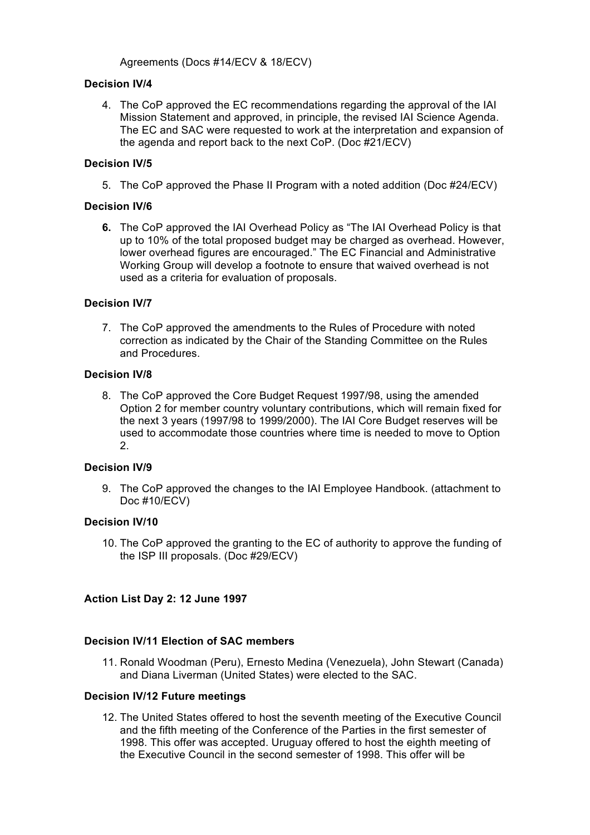# Agreements (Docs #14/ECV & 18/ECV)

# **Decision IV/4**

4. The CoP approved the EC recommendations regarding the approval of the IAI Mission Statement and approved, in principle, the revised IAI Science Agenda. The EC and SAC were requested to work at the interpretation and expansion of the agenda and report back to the next CoP. (Doc #21/ECV)

# **Decision IV/5**

5. The CoP approved the Phase II Program with a noted addition (Doc #24/ECV)

# **Decision IV/6**

**6.** The CoP approved the IAI Overhead Policy as "The IAI Overhead Policy is that up to 10% of the total proposed budget may be charged as overhead. However, lower overhead figures are encouraged." The EC Financial and Administrative Working Group will develop a footnote to ensure that waived overhead is not used as a criteria for evaluation of proposals.

# **Decision IV/7**

7. The CoP approved the amendments to the Rules of Procedure with noted correction as indicated by the Chair of the Standing Committee on the Rules and Procedures.

## **Decision IV/8**

8. The CoP approved the Core Budget Request 1997/98, using the amended Option 2 for member country voluntary contributions, which will remain fixed for the next 3 years (1997/98 to 1999/2000). The IAI Core Budget reserves will be used to accommodate those countries where time is needed to move to Option 2.

# **Decision IV/9**

9. The CoP approved the changes to the IAI Employee Handbook. (attachment to Doc #10/ECV)

## **Decision IV/10**

10. The CoP approved the granting to the EC of authority to approve the funding of the ISP III proposals. (Doc #29/ECV)

# **Action List Day 2: 12 June 1997**

## **Decision IV/11 Election of SAC members**

11. Ronald Woodman (Peru), Ernesto Medina (Venezuela), John Stewart (Canada) and Diana Liverman (United States) were elected to the SAC.

## **Decision IV/12 Future meetings**

12. The United States offered to host the seventh meeting of the Executive Council and the fifth meeting of the Conference of the Parties in the first semester of 1998. This offer was accepted. Uruguay offered to host the eighth meeting of the Executive Council in the second semester of 1998. This offer will be